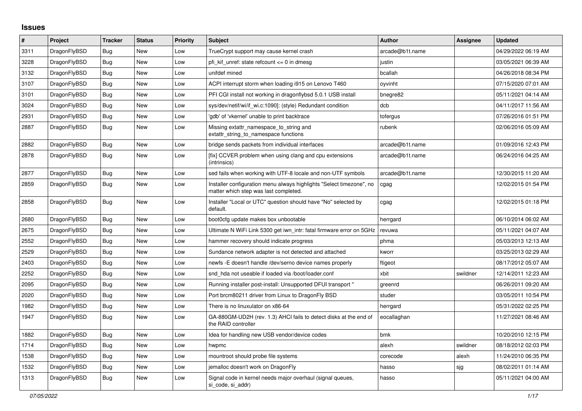## **Issues**

| $\#$ | Project      | <b>Tracker</b> | <b>Status</b> | <b>Priority</b> | <b>Subject</b>                                                                                                | <b>Author</b>   | Assignee | <b>Updated</b>      |
|------|--------------|----------------|---------------|-----------------|---------------------------------------------------------------------------------------------------------------|-----------------|----------|---------------------|
| 3311 | DragonFlyBSD | <b>Bug</b>     | New           | Low             | TrueCrypt support may cause kernel crash                                                                      | arcade@b1t.name |          | 04/29/2022 06:19 AM |
| 3228 | DragonFlyBSD | Bug            | New           | Low             | pfi kif unref: state refcount $\leq 0$ in dmesg                                                               | justin          |          | 03/05/2021 06:39 AM |
| 3132 | DragonFlyBSD | <b>Bug</b>     | New           | Low             | unifdef mined                                                                                                 | bcallah         |          | 04/26/2018 08:34 PM |
| 3107 | DragonFlyBSD | Bug            | <b>New</b>    | Low             | ACPI interrupt storm when loading i915 on Lenovo T460                                                         | oyvinht         |          | 07/15/2020 07:01 AM |
| 3101 | DragonFlyBSD | Bug            | <b>New</b>    | Low             | PFI CGI install not working in dragonflybsd 5.0.1 USB install                                                 | bnegre82        |          | 05/11/2021 04:14 AM |
| 3024 | DragonFlyBSD | <b>Bug</b>     | <b>New</b>    | Low             | sys/dev/netif/wi/if_wi.c:1090]: (style) Redundant condition                                                   | dcb             |          | 04/11/2017 11:56 AM |
| 2931 | DragonFlyBSD | Bug            | New           | Low             | 'gdb' of 'vkernel' unable to print backtrace                                                                  | tofergus        |          | 07/26/2016 01:51 PM |
| 2887 | DragonFlyBSD | Bug            | New           | Low             | Missing extattr_namespace_to_string and<br>extattr string to namespace functions                              | rubenk          |          | 02/06/2016 05:09 AM |
| 2882 | DragonFlyBSD | Bug            | New           | Low             | bridge sends packets from individual interfaces                                                               | arcade@b1t.name |          | 01/09/2016 12:43 PM |
| 2878 | DragonFlyBSD | <b>Bug</b>     | New           | Low             | [fix] CCVER problem when using clang and cpu extensions<br>(intrinsics)                                       | arcade@b1t.name |          | 06/24/2016 04:25 AM |
| 2877 | DragonFlyBSD | Bug            | New           | Low             | sed fails when working with UTF-8 locale and non-UTF symbols                                                  | arcade@b1t.name |          | 12/30/2015 11:20 AM |
| 2859 | DragonFlyBSD | Bug            | New           | Low             | Installer configuration menu always highlights "Select timezone", no<br>matter which step was last completed. | cgag            |          | 12/02/2015 01:54 PM |
| 2858 | DragonFlyBSD | <b>Bug</b>     | <b>New</b>    | Low             | Installer "Local or UTC" question should have "No" selected by<br>default.                                    | cgag            |          | 12/02/2015 01:18 PM |
| 2680 | DragonFlyBSD | Bug            | New           | Low             | boot0cfg update makes box unbootable                                                                          | herrgard        |          | 06/10/2014 06:02 AM |
| 2675 | DragonFlyBSD | Bug            | <b>New</b>    | Low             | Ultimate N WiFi Link 5300 get iwn intr: fatal firmware error on 5GHz                                          | revuwa          |          | 05/11/2021 04:07 AM |
| 2552 | DragonFlyBSD | Bug            | <b>New</b>    | Low             | hammer recovery should indicate progress                                                                      | phma            |          | 05/03/2013 12:13 AM |
| 2529 | DragonFlyBSD | <b>Bug</b>     | New           | Low             | Sundance network adapter is not detected and attached                                                         | kworr           |          | 03/25/2013 02:29 AM |
| 2403 | DragonFlyBSD | Bug            | New           | Low             | newfs - E doesn't handle /dev/serno device names properly                                                     | ftigeot         |          | 08/17/2012 05:07 AM |
| 2252 | DragonFlyBSD | <b>Bug</b>     | New           | Low             | snd hda not useable if loaded via /boot/loader.conf                                                           | xbit            | swildner | 12/14/2011 12:23 AM |
| 2095 | DragonFlyBSD | Bug            | New           | Low             | Running installer post-install: Unsupported DFUI transport "                                                  | greenrd         |          | 06/26/2011 09:20 AM |
| 2020 | DragonFlyBSD | Bug            | <b>New</b>    | Low             | Port brcm80211 driver from Linux to DragonFly BSD                                                             | studer          |          | 03/05/2011 10:54 PM |
| 1982 | DragonFlyBSD | Bug            | New           | Low             | There is no linuxulator on x86-64                                                                             | herrgard        |          | 05/31/2022 02:25 PM |
| 1947 | DragonFlyBSD | <b>Bug</b>     | <b>New</b>    | Low             | GA-880GM-UD2H (rev. 1.3) AHCI fails to detect disks at the end of<br>the RAID controller                      | eocallaghan     |          | 11/27/2021 08:46 AM |
| 1882 | DragonFlyBSD | Bug            | New           | Low             | Idea for handling new USB vendor/device codes                                                                 | bmk             |          | 10/20/2010 12:15 PM |
| 1714 | DragonFlyBSD | <b>Bug</b>     | New           | Low             | hwpmc                                                                                                         | alexh           | swildner | 08/18/2012 02:03 PM |
| 1538 | DragonFlyBSD | Bug            | New           | Low             | mountroot should probe file systems                                                                           | corecode        | alexh    | 11/24/2010 06:35 PM |
| 1532 | DragonFlyBSD | Bug            | <b>New</b>    | Low             | jemalloc doesn't work on DragonFly                                                                            | hasso           | sjg      | 08/02/2011 01:14 AM |
| 1313 | DragonFlyBSD | Bug            | <b>New</b>    | Low             | Signal code in kernel needs major overhaul (signal queues,<br>si code, si addr)                               | hasso           |          | 05/11/2021 04:00 AM |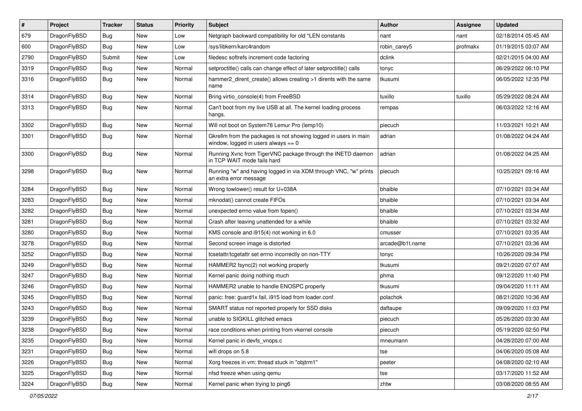| $\sharp$ | Project      | <b>Tracker</b> | <b>Status</b> | <b>Priority</b> | Subject                                                                                                   | <b>Author</b>   | Assignee | <b>Updated</b>      |
|----------|--------------|----------------|---------------|-----------------|-----------------------------------------------------------------------------------------------------------|-----------------|----------|---------------------|
| 679      | DragonFlyBSD | <b>Bug</b>     | New           | Low             | Netgraph backward compatibility for old *LEN constants                                                    | nant            | nant     | 02/18/2014 05:45 AM |
| 600      | DragonFlyBSD | Bug            | New           | Low             | /sys/libkern/karc4random                                                                                  | robin carey5    | profmakx | 01/19/2015 03:07 AM |
| 2790     | DragonFlyBSD | Submit         | New           | Low             | filedesc softrefs increment code factoring                                                                | dclink          |          | 02/21/2015 04:00 AM |
| 3319     | DragonFlyBSD | <b>Bug</b>     | New           | Normal          | setproctitle() calls can change effect of later setproctitle() calls                                      | tonyc           |          | 06/29/2022 06:10 PM |
| 3316     | DragonFlyBSD | Bug            | <b>New</b>    | Normal          | hammer2_dirent_create() allows creating >1 dirents with the same<br>name                                  | tkusumi         |          | 06/05/2022 12:35 PM |
| 3314     | DragonFlyBSD | Bug            | New           | Normal          | Bring virtio_console(4) from FreeBSD                                                                      | tuxillo         | tuxillo  | 05/29/2022 08:24 AM |
| 3313     | DragonFlyBSD | Bug            | <b>New</b>    | Normal          | Can't boot from my live USB at all. The kernel loading process<br>hangs.                                  | rempas          |          | 06/03/2022 12:16 AM |
| 3302     | DragonFlyBSD | Bug            | New           | Normal          | Will not boot on System76 Lemur Pro (lemp10)                                                              | piecuch         |          | 11/03/2021 10:21 AM |
| 3301     | DragonFlyBSD | Bug            | <b>New</b>    | Normal          | Gkrellm from the packages is not showing logged in users in main<br>window, logged in users always $== 0$ | adrian          |          | 01/08/2022 04:24 AM |
| 3300     | DragonFlyBSD | Bug            | <b>New</b>    | Normal          | Running Xvnc from TigerVNC package through the INETD daemon<br>in TCP WAIT mode fails hard                | adrian          |          | 01/08/2022 04:25 AM |
| 3298     | DragonFlyBSD | Bug            | <b>New</b>    | Normal          | Running "w" and having logged in via XDM through VNC, "w" prints<br>an extra error message                | piecuch         |          | 10/25/2021 09:16 AM |
| 3284     | DragonFlyBSD | Bug            | <b>New</b>    | Normal          | Wrong towlower() result for U+038A                                                                        | bhaible         |          | 07/10/2021 03:34 AM |
| 3283     | DragonFlyBSD | Bug            | New           | Normal          | mknodat() cannot create FIFOs                                                                             | bhaible         |          | 07/10/2021 03:34 AM |
| 3282     | DragonFlyBSD | Bug            | <b>New</b>    | Normal          | unexpected errno value from fopen()                                                                       | bhaible         |          | 07/10/2021 03:34 AM |
| 3281     | DragonFlyBSD | Bug            | New           | Normal          | Crash after leaving unattended for a while                                                                | bhaible         |          | 07/10/2021 03:32 AM |
| 3280     | DragonFlyBSD | Bug            | New           | Normal          | KMS console and i915(4) not working in 6.0                                                                | cmusser         |          | 07/10/2021 03:35 AM |
| 3278     | DragonFlyBSD | Bug            | New           | Normal          | Second screen image is distorted                                                                          | arcade@b1t.name |          | 07/10/2021 03:36 AM |
| 3252     | DragonFlyBSD | Bug            | <b>New</b>    | Normal          | tcsetattr/tcgetattr set errno incorrectly on non-TTY                                                      | tonyc           |          | 10/26/2020 09:34 PM |
| 3249     | DragonFlyBSD | Bug            | New           | Normal          | HAMMER2 fsync(2) not working properly                                                                     | tkusumi         |          | 09/21/2020 07:07 AM |
| 3247     | DragonFlyBSD | <b>Bug</b>     | New           | Normal          | Kernel panic doing nothing much                                                                           | phma            |          | 09/12/2020 11:40 PM |
| 3246     | DragonFlyBSD | Bug            | <b>New</b>    | Normal          | HAMMER2 unable to handle ENOSPC properly                                                                  | tkusumi         |          | 09/04/2020 11:11 AM |
| 3245     | DragonFlyBSD | Bug            | New           | Normal          | panic: free: quard1x fail, i915 load from loader.conf                                                     | polachok        |          | 08/21/2020 10:36 AM |
| 3243     | DragonFlyBSD | <b>Bug</b>     | <b>New</b>    | Normal          | SMART status not reported properly for SSD disks                                                          | daftaupe        |          | 09/09/2020 11:03 PM |
| 3239     | DragonFlyBSD | <b>Bug</b>     | New           | Normal          | unable to SIGKILL glitched emacs                                                                          | piecuch         |          | 05/26/2020 03:30 AM |
| 3238     | DragonFlyBSD | <b>Bug</b>     | New           | Normal          | race conditions when printing from vkernel console                                                        | piecuch         |          | 05/19/2020 02:50 PM |
| 3235     | DragonFlyBSD | <b>Bug</b>     | New           | Normal          | Kernel panic in devfs vnops.c                                                                             | mneumann        |          | 04/28/2020 07:00 AM |
| 3231     | DragonFlyBSD | <b>Bug</b>     | New           | Normal          | wifi drops on 5.8                                                                                         | tse             |          | 04/06/2020 05:08 AM |
| 3226     | DragonFlyBSD | <b>Bug</b>     | New           | Normal          | Xorg freezes in vm: thread stuck in "objtrm1"                                                             | peeter          |          | 04/08/2020 02:10 AM |
| 3225     | DragonFlyBSD | <b>Bug</b>     | New           | Normal          | nfsd freeze when using qemu                                                                               | tse             |          | 03/17/2020 11:52 AM |
| 3224     | DragonFlyBSD | <b>Bug</b>     | New           | Normal          | Kernel panic when trying to ping6                                                                         | zhtw            |          | 03/08/2020 08:55 AM |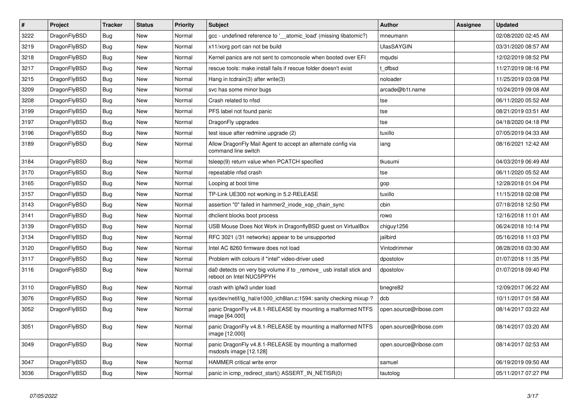| $\pmb{\#}$ | Project      | <b>Tracker</b> | <b>Status</b> | <b>Priority</b> | <b>Subject</b>                                                                                | <b>Author</b>          | Assignee | <b>Updated</b>      |
|------------|--------------|----------------|---------------|-----------------|-----------------------------------------------------------------------------------------------|------------------------|----------|---------------------|
| 3222       | DragonFlyBSD | Bug            | <b>New</b>    | Normal          | gcc - undefined reference to '_atomic_load' (missing libatomic?)                              | mneumann               |          | 02/08/2020 02:45 AM |
| 3219       | DragonFlyBSD | Bug            | <b>New</b>    | Normal          | x11/xorg port can not be build                                                                | <b>UlasSAYGIN</b>      |          | 03/31/2020 08:57 AM |
| 3218       | DragonFlyBSD | <b>Bug</b>     | <b>New</b>    | Normal          | Kernel panics are not sent to comconsole when booted over EFI                                 | mqudsi                 |          | 12/02/2019 08:52 PM |
| 3217       | DragonFlyBSD | <b>Bug</b>     | <b>New</b>    | Normal          | rescue tools: make install fails if rescue folder doesn't exist                               | t dfbsd                |          | 11/27/2019 08:16 PM |
| 3215       | DragonFlyBSD | Bug            | <b>New</b>    | Normal          | Hang in tcdrain(3) after write(3)                                                             | noloader               |          | 11/25/2019 03:08 PM |
| 3209       | DragonFlyBSD | <b>Bug</b>     | <b>New</b>    | Normal          | svc has some minor bugs                                                                       | arcade@b1t.name        |          | 10/24/2019 09:08 AM |
| 3208       | DragonFlyBSD | Bug            | <b>New</b>    | Normal          | Crash related to nfsd                                                                         | tse                    |          | 06/11/2020 05:52 AM |
| 3199       | DragonFlyBSD | Bug            | <b>New</b>    | Normal          | PFS label not found panic                                                                     | tse                    |          | 08/21/2019 03:51 AM |
| 3197       | DragonFlyBSD | <b>Bug</b>     | <b>New</b>    | Normal          | DragonFly upgrades                                                                            | tse                    |          | 04/18/2020 04:18 PM |
| 3196       | DragonFlyBSD | <b>Bug</b>     | <b>New</b>    | Normal          | test issue after redmine upgrade (2)                                                          | tuxillo                |          | 07/05/2019 04:33 AM |
| 3189       | DragonFlyBSD | Bug            | <b>New</b>    | Normal          | Allow DragonFly Mail Agent to accept an alternate config via<br>command line switch           | iang                   |          | 08/16/2021 12:42 AM |
| 3184       | DragonFlyBSD | Bug            | <b>New</b>    | Normal          | tsleep(9) return value when PCATCH specified                                                  | tkusumi                |          | 04/03/2019 06:49 AM |
| 3170       | DragonFlyBSD | Bug            | <b>New</b>    | Normal          | repeatable nfsd crash                                                                         | tse                    |          | 06/11/2020 05:52 AM |
| 3165       | DragonFlyBSD | Bug            | <b>New</b>    | Normal          | Looping at boot time                                                                          | gop                    |          | 12/28/2018 01:04 PM |
| 3157       | DragonFlyBSD | Bug            | <b>New</b>    | Normal          | TP-Link UE300 not working in 5.2-RELEASE                                                      | tuxillo                |          | 11/15/2018 02:08 PM |
| 3143       | DragonFlyBSD | <b>Bug</b>     | <b>New</b>    | Normal          | assertion "0" failed in hammer2 inode xop chain sync                                          | cbin                   |          | 07/18/2018 12:50 PM |
| 3141       | DragonFlyBSD | Bug            | <b>New</b>    | Normal          | dhclient blocks boot process                                                                  | rowo                   |          | 12/16/2018 11:01 AM |
| 3139       | DragonFlyBSD | Bug            | <b>New</b>    | Normal          | USB Mouse Does Not Work in DragonflyBSD quest on VirtualBox                                   | chiguy1256             |          | 06/24/2018 10:14 PM |
| 3134       | DragonFlyBSD | Bug            | <b>New</b>    | Normal          | RFC 3021 (/31 networks) appear to be unsupported                                              | jailbird               |          | 05/16/2018 11:03 PM |
| 3120       | DragonFlyBSD | <b>Bug</b>     | <b>New</b>    | Normal          | Intel AC 8260 firmware does not load                                                          | Vintodrimmer           |          | 08/28/2018 03:30 AM |
| 3117       | DragonFlyBSD | <b>Bug</b>     | <b>New</b>    | Normal          | Problem with colours if "intel" video-driver used                                             | dpostolov              |          | 01/07/2018 11:35 PM |
| 3116       | DragonFlyBSD | <b>Bug</b>     | <b>New</b>    | Normal          | da0 detects on very big volume if to remove usb install stick and<br>reboot on Intel NUC5PPYH | dpostolov              |          | 01/07/2018 09:40 PM |
| 3110       | DragonFlyBSD | <b>Bug</b>     | <b>New</b>    | Normal          | crash with ipfw3 under load                                                                   | bnegre82               |          | 12/09/2017 06:22 AM |
| 3076       | DragonFlyBSD | <b>Bug</b>     | <b>New</b>    | Normal          | sys/dev/netif/ig_hal/e1000_ich8lan.c:1594: sanity checking mixup?                             | dcb                    |          | 10/11/2017 01:58 AM |
| 3052       | DragonFlyBSD | Bug            | New           | Normal          | panic DragonFly v4.8.1-RELEASE by mounting a malformed NTFS<br>image [64.000]                 | open.source@ribose.com |          | 08/14/2017 03:22 AM |
| 3051       | DragonFlyBSD | <b>Bug</b>     | <b>New</b>    | Normal          | panic DragonFly v4.8.1-RELEASE by mounting a malformed NTFS<br>image [12.000]                 | open.source@ribose.com |          | 08/14/2017 03:20 AM |
| 3049       | DragonFlyBSD | Bug            | <b>New</b>    | Normal          | panic DragonFly v4.8.1-RELEASE by mounting a malformed<br>msdosfs image [12.128]              | open.source@ribose.com |          | 08/14/2017 02:53 AM |
| 3047       | DragonFlyBSD | Bug            | <b>New</b>    | Normal          | <b>HAMMER</b> critical write error                                                            | samuel                 |          | 06/19/2019 09:50 AM |
| 3036       | DragonFlyBSD | Bug            | <b>New</b>    | Normal          | panic in icmp redirect start() ASSERT IN NETISR(0)                                            | tautolog               |          | 05/11/2017 07:27 PM |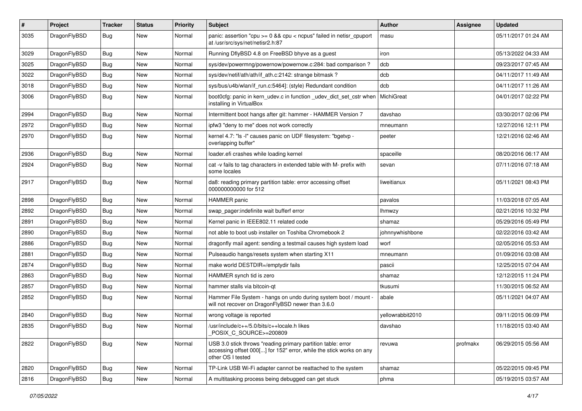| $\pmb{\#}$ | Project      | <b>Tracker</b> | <b>Status</b> | <b>Priority</b> | Subject                                                                                                                                                  | Author            | <b>Assignee</b> | <b>Updated</b>      |
|------------|--------------|----------------|---------------|-----------------|----------------------------------------------------------------------------------------------------------------------------------------------------------|-------------------|-----------------|---------------------|
| 3035       | DragonFlyBSD | Bug            | New           | Normal          | panic: assertion "cpu >= 0 && cpu < ncpus" failed in netisr_cpuport<br>at /usr/src/sys/net/netisr2.h:87                                                  | masu              |                 | 05/11/2017 01:24 AM |
| 3029       | DragonFlyBSD | <b>Bug</b>     | <b>New</b>    | Normal          | Running DflyBSD 4.8 on FreeBSD bhyve as a guest                                                                                                          | iron              |                 | 05/13/2022 04:33 AM |
| 3025       | DragonFlyBSD | Bug            | <b>New</b>    | Normal          | sys/dev/powermng/powernow/powernow.c:284: bad comparison?                                                                                                | dcb               |                 | 09/23/2017 07:45 AM |
| 3022       | DragonFlyBSD | <b>Bug</b>     | New           | Normal          | sys/dev/netif/ath/ath/if_ath.c:2142: strange bitmask?                                                                                                    | dcb               |                 | 04/11/2017 11:49 AM |
| 3018       | DragonFlyBSD | <b>Bug</b>     | New           | Normal          | sys/bus/u4b/wlan/if_run.c:5464]: (style) Redundant condition                                                                                             | dcb               |                 | 04/11/2017 11:26 AM |
| 3006       | DragonFlyBSD | Bug            | New           | Normal          | boot0cfg: panic in kern_udev.c in function _udev_dict_set_cstr when<br>installing in VirtualBox                                                          | <b>MichiGreat</b> |                 | 04/01/2017 02:22 PM |
| 2994       | DragonFlyBSD | Bug            | <b>New</b>    | Normal          | Intermittent boot hangs after git: hammer - HAMMER Version 7                                                                                             | davshao           |                 | 03/30/2017 02:06 PM |
| 2972       | DragonFlyBSD | <b>Bug</b>     | <b>New</b>    | Normal          | ipfw3 "deny to me" does not work correctly                                                                                                               | mneumann          |                 | 12/27/2016 12:11 PM |
| 2970       | DragonFlyBSD | Bug            | New           | Normal          | kernel 4.7: "Is -I" causes panic on UDF filesystem: "bgetvp -<br>overlapping buffer"                                                                     | peeter            |                 | 12/21/2016 02:46 AM |
| 2936       | DragonFlyBSD | Bug            | <b>New</b>    | Normal          | loader.efi crashes while loading kernel                                                                                                                  | spaceille         |                 | 08/20/2016 06:17 AM |
| 2924       | DragonFlyBSD | Bug            | New           | Normal          | cat -v fails to tag characters in extended table with M- prefix with<br>some locales                                                                     | sevan             |                 | 07/11/2016 07:18 AM |
| 2917       | DragonFlyBSD | <b>Bug</b>     | New           | Normal          | da8: reading primary partition table: error accessing offset<br>000000000000 for 512                                                                     | liweitianux       |                 | 05/11/2021 08:43 PM |
| 2898       | DragonFlyBSD | <b>Bug</b>     | <b>New</b>    | Normal          | <b>HAMMER</b> panic                                                                                                                                      | pavalos           |                 | 11/03/2018 07:05 AM |
| 2892       | DragonFlyBSD | <b>Bug</b>     | <b>New</b>    | Normal          | swap pager:indefinite wait bufferf error                                                                                                                 | lhmwzy            |                 | 02/21/2016 10:32 PM |
| 2891       | DragonFlyBSD | Bug            | <b>New</b>    | Normal          | Kernel panic in IEEE802.11 related code                                                                                                                  | shamaz            |                 | 05/29/2016 05:49 PM |
| 2890       | DragonFlyBSD | <b>Bug</b>     | <b>New</b>    | Normal          | not able to boot usb installer on Toshiba Chromebook 2                                                                                                   | johnnywhishbone   |                 | 02/22/2016 03:42 AM |
| 2886       | DragonFlyBSD | <b>Bug</b>     | New           | Normal          | dragonfly mail agent: sending a testmail causes high system load                                                                                         | worf              |                 | 02/05/2016 05:53 AM |
| 2881       | DragonFlyBSD | Bug            | <b>New</b>    | Normal          | Pulseaudio hangs/resets system when starting X11                                                                                                         | mneumann          |                 | 01/09/2016 03:08 AM |
| 2874       | DragonFlyBSD | <b>Bug</b>     | New           | Normal          | make world DESTDIR=/emptydir fails                                                                                                                       | pascii            |                 | 12/25/2015 07:04 AM |
| 2863       | DragonFlyBSD | Bug            | <b>New</b>    | Normal          | HAMMER synch tid is zero                                                                                                                                 | shamaz            |                 | 12/12/2015 11:24 PM |
| 2857       | DragonFlyBSD | Bug            | <b>New</b>    | Normal          | hammer stalls via bitcoin-qt                                                                                                                             | tkusumi           |                 | 11/30/2015 06:52 AM |
| 2852       | DragonFlyBSD | <b>Bug</b>     | New           | Normal          | Hammer File System - hangs on undo during system boot / mount -<br>will not recover on DragonFlyBSD newer than 3.6.0                                     | abale             |                 | 05/11/2021 04:07 AM |
| 2840       | DragonFlyBSD | <b>Bug</b>     | <b>New</b>    | Normal          | wrong voltage is reported                                                                                                                                | yellowrabbit2010  |                 | 09/11/2015 06:09 PM |
| 2835       | DragonFlyBSD | Bug            | New           | Normal          | /usr/include/c++/5.0/bits/c++locale.h likes<br>POSIX_C_SOURCE>=200809                                                                                    | davshao           |                 | 11/18/2015 03:40 AM |
| 2822       | DragonFlyBSD | <b>Bug</b>     | New           | Normal          | USB 3.0 stick throws "reading primary partition table: error<br>accessing offset 000[] for 152" error, while the stick works on any<br>other OS I tested | revuwa            | profmakx        | 06/29/2015 05:56 AM |
| 2820       | DragonFlyBSD | <b>Bug</b>     | New           | Normal          | TP-Link USB Wi-Fi adapter cannot be reattached to the system                                                                                             | shamaz            |                 | 05/22/2015 09:45 PM |
| 2816       | DragonFlyBSD | <b>Bug</b>     | New           | Normal          | A multitasking process being debugged can get stuck                                                                                                      | phma              |                 | 05/19/2015 03:57 AM |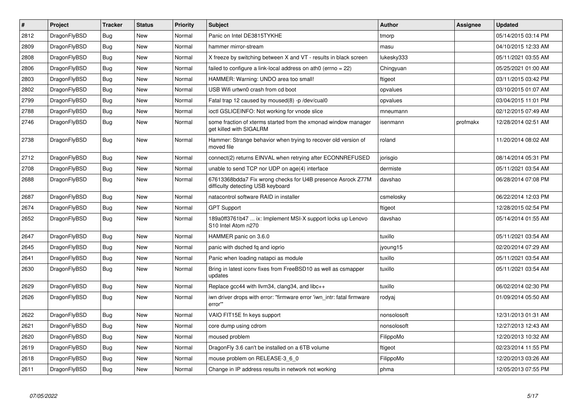| $\vert$ # | <b>Project</b> | <b>Tracker</b> | <b>Status</b> | <b>Priority</b> | <b>Subject</b>                                                                                   | Author      | Assignee | <b>Updated</b>      |
|-----------|----------------|----------------|---------------|-----------------|--------------------------------------------------------------------------------------------------|-------------|----------|---------------------|
| 2812      | DragonFlyBSD   | Bug            | <b>New</b>    | Normal          | Panic on Intel DE3815TYKHE                                                                       | tmorp       |          | 05/14/2015 03:14 PM |
| 2809      | DragonFlyBSD   | Bug            | <b>New</b>    | Normal          | hammer mirror-stream                                                                             | masu        |          | 04/10/2015 12:33 AM |
| 2808      | DragonFlyBSD   | <b>Bug</b>     | <b>New</b>    | Normal          | X freeze by switching between X and VT - results in black screen                                 | lukesky333  |          | 05/11/2021 03:55 AM |
| 2806      | DragonFlyBSD   | Bug            | <b>New</b>    | Normal          | failed to configure a link-local address on ath0 (errno = 22)                                    | Chingyuan   |          | 05/25/2021 01:00 AM |
| 2803      | DragonFlyBSD   | <b>Bug</b>     | <b>New</b>    | Normal          | HAMMER: Warning: UNDO area too small!                                                            | ftigeot     |          | 03/11/2015 03:42 PM |
| 2802      | DragonFlyBSD   | Bug            | <b>New</b>    | Normal          | USB Wifi urtwn0 crash from cd boot                                                               | opvalues    |          | 03/10/2015 01:07 AM |
| 2799      | DragonFlyBSD   | <b>Bug</b>     | <b>New</b>    | Normal          | Fatal trap 12 caused by moused(8) -p/dev/cual0                                                   | opvalues    |          | 03/04/2015 11:01 PM |
| 2788      | DragonFlyBSD   | Bug            | <b>New</b>    | Normal          | ioctl GSLICEINFO: Not working for vnode slice                                                    | mneumann    |          | 02/12/2015 07:49 AM |
| 2746      | DragonFlyBSD   | <b>Bug</b>     | <b>New</b>    | Normal          | some fraction of xterms started from the xmonad window manager<br>get killed with SIGALRM        | isenmann    | profmakx | 12/28/2014 02:51 AM |
| 2738      | DragonFlyBSD   | <b>Bug</b>     | New           | Normal          | Hammer: Strange behavior when trying to recover old version of<br>moved file                     | roland      |          | 11/20/2014 08:02 AM |
| 2712      | DragonFlyBSD   | <b>Bug</b>     | <b>New</b>    | Normal          | connect(2) returns EINVAL when retrying after ECONNREFUSED                                       | jorisgio    |          | 08/14/2014 05:31 PM |
| 2708      | DragonFlyBSD   | Bug            | New           | Normal          | unable to send TCP nor UDP on age(4) interface                                                   | dermiste    |          | 05/11/2021 03:54 AM |
| 2688      | DragonFlyBSD   | Bug            | <b>New</b>    | Normal          | 67613368bdda7 Fix wrong checks for U4B presence Asrock Z77M<br>difficulty detecting USB keyboard | davshao     |          | 06/28/2014 07:08 PM |
| 2687      | DragonFlyBSD   | <b>Bug</b>     | New           | Normal          | natacontrol software RAID in installer                                                           | csmelosky   |          | 06/22/2014 12:03 PM |
| 2674      | DragonFlyBSD   | Bug            | <b>New</b>    | Normal          | <b>GPT Support</b>                                                                               | ftigeot     |          | 12/28/2015 02:54 PM |
| 2652      | DragonFlyBSD   | <b>Bug</b>     | New           | Normal          | 189a0ff3761b47  ix: Implement MSI-X support locks up Lenovo<br>S10 Intel Atom n270               | davshao     |          | 05/14/2014 01:55 AM |
| 2647      | DragonFlyBSD   | Bug            | <b>New</b>    | Normal          | HAMMER panic on 3.6.0                                                                            | tuxillo     |          | 05/11/2021 03:54 AM |
| 2645      | DragonFlyBSD   | Bug            | <b>New</b>    | Normal          | panic with dsched fq and ioprio                                                                  | jyoung15    |          | 02/20/2014 07:29 AM |
| 2641      | DragonFlyBSD   | <b>Bug</b>     | <b>New</b>    | Normal          | Panic when loading natapci as module                                                             | tuxillo     |          | 05/11/2021 03:54 AM |
| 2630      | DragonFlyBSD   | Bug            | New           | Normal          | Bring in latest iconv fixes from FreeBSD10 as well as csmapper<br>updates                        | tuxillo     |          | 05/11/2021 03:54 AM |
| 2629      | DragonFlyBSD   | Bug            | <b>New</b>    | Normal          | Replace gcc44 with llvm34, clang34, and libc++                                                   | tuxillo     |          | 06/02/2014 02:30 PM |
| 2626      | DragonFlyBSD   | <b>Bug</b>     | New           | Normal          | iwn driver drops with error: "firmware error 'iwn intr: fatal firmware<br>error"                 | rodyaj      |          | 01/09/2014 05:50 AM |
| 2622      | DragonFlyBSD   | Bug            | <b>New</b>    | Normal          | VAIO FIT15E fn keys support                                                                      | nonsolosoft |          | 12/31/2013 01:31 AM |
| 2621      | DragonFlyBSD   | Bug            | <b>New</b>    | Normal          | core dump using cdrom                                                                            | nonsolosoft |          | 12/27/2013 12:43 AM |
| 2620      | DragonFlyBSD   | <b>Bug</b>     | <b>New</b>    | Normal          | moused problem                                                                                   | FilippoMo   |          | 12/20/2013 10:32 AM |
| 2619      | DragonFlyBSD   | Bug            | <b>New</b>    | Normal          | DragonFly 3.6 can't be installed on a 6TB volume                                                 | ftigeot     |          | 02/23/2014 11:55 PM |
| 2618      | DragonFlyBSD   | Bug            | New           | Normal          | mouse problem on RELEASE-3 6 0                                                                   | FilippoMo   |          | 12/20/2013 03:26 AM |
| 2611      | DragonFlyBSD   | Bug            | New           | Normal          | Change in IP address results in network not working                                              | phma        |          | 12/05/2013 07:55 PM |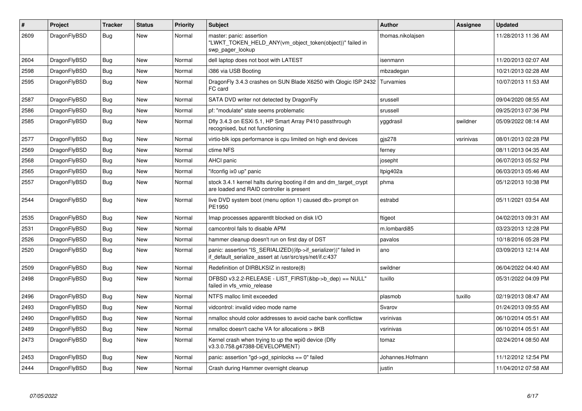| $\sharp$ | Project      | <b>Tracker</b> | <b>Status</b> | <b>Priority</b> | <b>Subject</b>                                                                                                               | <b>Author</b>     | Assignee  | <b>Updated</b>      |
|----------|--------------|----------------|---------------|-----------------|------------------------------------------------------------------------------------------------------------------------------|-------------------|-----------|---------------------|
| 2609     | DragonFlyBSD | Bug            | <b>New</b>    | Normal          | master: panic: assertion<br>"LWKT TOKEN HELD ANY(vm object token(object))" failed in<br>swp pager lookup                     | thomas.nikolajsen |           | 11/28/2013 11:36 AM |
| 2604     | DragonFlyBSD | <b>Bug</b>     | <b>New</b>    | Normal          | dell laptop does not boot with LATEST                                                                                        | isenmann          |           | 11/20/2013 02:07 AM |
| 2598     | DragonFlyBSD | <b>Bug</b>     | <b>New</b>    | Normal          | i386 via USB Booting                                                                                                         | mbzadegan         |           | 10/21/2013 02:28 AM |
| 2595     | DragonFlyBSD | Bug            | New           | Normal          | DragonFly 3.4.3 crashes on SUN Blade X6250 with Qlogic ISP 2432<br>FC card                                                   | Turvamies         |           | 10/07/2013 11:53 AM |
| 2587     | DragonFlyBSD | Bug            | <b>New</b>    | Normal          | SATA DVD writer not detected by DragonFly                                                                                    | srussell          |           | 09/04/2020 08:55 AM |
| 2586     | DragonFlyBSD | Bug            | <b>New</b>    | Normal          | pf: "modulate" state seems problematic                                                                                       | srussell          |           | 09/25/2013 07:36 PM |
| 2585     | DragonFlyBSD | <b>Bug</b>     | New           | Normal          | Dfly 3.4.3 on ESXi 5.1, HP Smart Array P410 passthrough<br>recognised, but not functioning                                   | yggdrasil         | swildner  | 05/09/2022 08:14 AM |
| 2577     | DragonFlyBSD | <b>Bug</b>     | <b>New</b>    | Normal          | virtio-blk iops performance is cpu limited on high end devices                                                               | gis278            | vsrinivas | 08/01/2013 02:28 PM |
| 2569     | DragonFlyBSD | <b>Bug</b>     | <b>New</b>    | Normal          | ctime NFS                                                                                                                    | ferney            |           | 08/11/2013 04:35 AM |
| 2568     | DragonFlyBSD | Bug            | New           | Normal          | <b>AHCI</b> panic                                                                                                            | josepht           |           | 06/07/2013 05:52 PM |
| 2565     | DragonFlyBSD | <b>Bug</b>     | <b>New</b>    | Normal          | "ifconfig ix0 up" panic                                                                                                      | Itpig402a         |           | 06/03/2013 05:46 AM |
| 2557     | DragonFlyBSD | Bug            | <b>New</b>    | Normal          | stock 3.4.1 kernel halts during booting if dm and dm target crypt<br>are loaded and RAID controller is present               | phma              |           | 05/12/2013 10:38 PM |
| 2544     | DragonFlyBSD | Bug            | <b>New</b>    | Normal          | live DVD system boot (menu option 1) caused db> prompt on<br>PE1950                                                          | estrabd           |           | 05/11/2021 03:54 AM |
| 2535     | DragonFlyBSD | <b>Bug</b>     | New           | Normal          | Imap processes apparentlt blocked on disk I/O                                                                                | ftigeot           |           | 04/02/2013 09:31 AM |
| 2531     | DragonFlyBSD | Bug            | <b>New</b>    | Normal          | camcontrol fails to disable APM                                                                                              | m.lombardi85      |           | 03/23/2013 12:28 PM |
| 2526     | DragonFlyBSD | Bug            | <b>New</b>    | Normal          | hammer cleanup doesn't run on first day of DST                                                                               | pavalos           |           | 10/18/2016 05:28 PM |
| 2520     | DragonFlyBSD | <b>Bug</b>     | <b>New</b>    | Normal          | panic: assertion "IS_SERIALIZED((ifp->if_serializer))" failed in<br>if default serialize assert at /usr/src/sys/net/if.c:437 | ano               |           | 03/09/2013 12:14 AM |
| 2509     | DragonFlyBSD | <b>Bug</b>     | <b>New</b>    | Normal          | Redefinition of DIRBLKSIZ in restore(8)                                                                                      | swildner          |           | 06/04/2022 04:40 AM |
| 2498     | DragonFlyBSD | <b>Bug</b>     | <b>New</b>    | Normal          | DFBSD v3.2.2-RELEASE - LIST_FIRST(&bp->b_dep) == NULL"<br>failed in vfs vmio release                                         | tuxillo           |           | 05/31/2022 04:09 PM |
| 2496     | DragonFlyBSD | <b>Bug</b>     | <b>New</b>    | Normal          | NTFS malloc limit exceeded                                                                                                   | plasmob           | tuxillo   | 02/19/2013 08:47 AM |
| 2493     | DragonFlyBSD | <b>Bug</b>     | New           | Normal          | vidcontrol: invalid video mode name                                                                                          | Svarov            |           | 01/24/2013 09:55 AM |
| 2490     | DragonFlyBSD | <b>Bug</b>     | <b>New</b>    | Normal          | nmalloc should color addresses to avoid cache bank conflictsw                                                                | vsrinivas         |           | 06/10/2014 05:51 AM |
| 2489     | DragonFlyBSD | Bug            | <b>New</b>    | Normal          | nmalloc doesn't cache VA for allocations > 8KB                                                                               | vsrinivas         |           | 06/10/2014 05:51 AM |
| 2473     | DragonFlyBSD | Bug            | <b>New</b>    | Normal          | Kernel crash when trying to up the wpi0 device (Dfly<br>v3.3.0.758.g47388-DEVELOPMENT)                                       | tomaz             |           | 02/24/2014 08:50 AM |
| 2453     | DragonFlyBSD | <b>Bug</b>     | <b>New</b>    | Normal          | panic: assertion "gd->gd spinlocks == $0$ " failed                                                                           | Johannes.Hofmann  |           | 11/12/2012 12:54 PM |
| 2444     | DragonFlyBSD | <b>Bug</b>     | <b>New</b>    | Normal          | Crash during Hammer overnight cleanup                                                                                        | justin            |           | 11/04/2012 07:58 AM |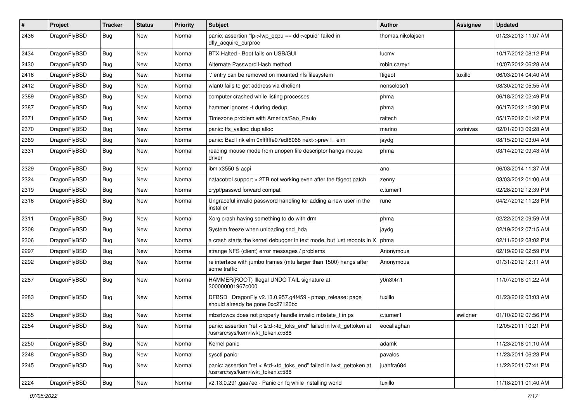| $\#$ | Project      | <b>Tracker</b> | <b>Status</b> | <b>Priority</b> | Subject                                                                                                    | <b>Author</b>     | Assignee  | <b>Updated</b>      |
|------|--------------|----------------|---------------|-----------------|------------------------------------------------------------------------------------------------------------|-------------------|-----------|---------------------|
| 2436 | DragonFlyBSD | Bug            | New           | Normal          | panic: assertion "lp->lwp_qcpu == dd->cpuid" failed in<br>dfly_acquire_curproc                             | thomas.nikolajsen |           | 01/23/2013 11:07 AM |
| 2434 | DragonFlyBSD | Bug            | New           | Normal          | BTX Halted - Boot fails on USB/GUI                                                                         | lucmv             |           | 10/17/2012 08:12 PM |
| 2430 | DragonFlyBSD | Bug            | <b>New</b>    | Normal          | Alternate Password Hash method                                                                             | robin.carey1      |           | 10/07/2012 06:28 AM |
| 2416 | DragonFlyBSD | Bug            | New           | Normal          | ".' entry can be removed on mounted nfs filesystem                                                         | ftigeot           | tuxillo   | 06/03/2014 04:40 AM |
| 2412 | DragonFlyBSD | Bug            | New           | Normal          | wlan0 fails to get address via dhclient                                                                    | nonsolosoft       |           | 08/30/2012 05:55 AM |
| 2389 | DragonFlyBSD | Bug            | <b>New</b>    | Normal          | computer crashed while listing processes                                                                   | phma              |           | 06/18/2012 02:49 PM |
| 2387 | DragonFlyBSD | Bug            | <b>New</b>    | Normal          | hammer ignores -t during dedup                                                                             | phma              |           | 06/17/2012 12:30 PM |
| 2371 | DragonFlyBSD | Bug            | New           | Normal          | Timezone problem with America/Sao_Paulo                                                                    | raitech           |           | 05/17/2012 01:42 PM |
| 2370 | DragonFlyBSD | Bug            | <b>New</b>    | Normal          | panic: ffs_valloc: dup alloc                                                                               | marino            | vsrinivas | 02/01/2013 09:28 AM |
| 2369 | DragonFlyBSD | Bug            | New           | Normal          | panic: Bad link elm 0xffffffe07edf6068 next->prev != elm                                                   | jaydg             |           | 08/15/2012 03:04 AM |
| 2331 | DragonFlyBSD | Bug            | <b>New</b>    | Normal          | reading mouse mode from unopen file descriptor hangs mouse<br>driver                                       | phma              |           | 03/14/2012 09:43 AM |
| 2329 | DragonFlyBSD | Bug            | New           | Normal          | ibm x3550 & acpi                                                                                           | ano               |           | 06/03/2014 11:37 AM |
| 2324 | DragonFlyBSD | Bug            | New           | Normal          | natacotrol support > 2TB not working even after the ftigeot patch                                          | zenny             |           | 03/03/2012 01:00 AM |
| 2319 | DragonFlyBSD | Bug            | New           | Normal          | crypt/passwd forward compat                                                                                | c.turner1         |           | 02/28/2012 12:39 PM |
| 2316 | DragonFlyBSD | Bug            | <b>New</b>    | Normal          | Ungraceful invalid password handling for adding a new user in the<br>installer                             | rune              |           | 04/27/2012 11:23 PM |
| 2311 | DragonFlyBSD | Bug            | New           | Normal          | Xorg crash having something to do with drm                                                                 | phma              |           | 02/22/2012 09:59 AM |
| 2308 | DragonFlyBSD | Bug            | New           | Normal          | System freeze when unloading snd_hda                                                                       | jaydg             |           | 02/19/2012 07:15 AM |
| 2306 | DragonFlyBSD | Bug            | <b>New</b>    | Normal          | a crash starts the kernel debugger in text mode, but just reboots in X                                     | phma              |           | 02/11/2012 08:02 PM |
| 2297 | DragonFlyBSD | Bug            | New           | Normal          | strange NFS (client) error messages / problems                                                             | Anonymous         |           | 02/19/2012 02:59 PM |
| 2292 | DragonFlyBSD | Bug            | New           | Normal          | re interface with jumbo frames (mtu larger than 1500) hangs after<br>some traffic                          | Anonymous         |           | 01/31/2012 12:11 AM |
| 2287 | DragonFlyBSD | Bug            | New           | Normal          | HAMMER(ROOT) Illegal UNDO TAIL signature at<br>300000001967c000                                            | y0n3t4n1          |           | 11/07/2018 01:22 AM |
| 2283 | DragonFlyBSD | Bug            | New           | Normal          | DFBSD DragonFly v2.13.0.957.g4f459 - pmap_release: page<br>should already be gone 0xc27120bc               | tuxillo           |           | 01/23/2012 03:03 AM |
| 2265 | DragonFlyBSD | <b>Bug</b>     | New           | Normal          | mbsrtowcs does not properly handle invalid mbstate_t in ps                                                 | c.turner1         | swildner  | 01/10/2012 07:56 PM |
| 2254 | DragonFlyBSD | Bug            | <b>New</b>    | Normal          | panic: assertion "ref < &td->td toks end" failed in lwkt gettoken at<br>/usr/src/sys/kern/lwkt_token.c:588 | eocallaghan       |           | 12/05/2011 10:21 PM |
| 2250 | DragonFlyBSD | <b>Bug</b>     | New           | Normal          | Kernel panic                                                                                               | adamk             |           | 11/23/2018 01:10 AM |
| 2248 | DragonFlyBSD | Bug            | <b>New</b>    | Normal          | sysctl panic                                                                                               | pavalos           |           | 11/23/2011 06:23 PM |
| 2245 | DragonFlyBSD | <b>Bug</b>     | <b>New</b>    | Normal          | panic: assertion "ref < &td->td_toks_end" failed in lwkt_gettoken at<br>/usr/src/sys/kern/lwkt_token.c:588 | juanfra684        |           | 11/22/2011 07:41 PM |
| 2224 | DragonFlyBSD | <b>Bug</b>     | New           | Normal          | v2.13.0.291.gaa7ec - Panic on fq while installing world                                                    | tuxillo           |           | 11/18/2011 01:40 AM |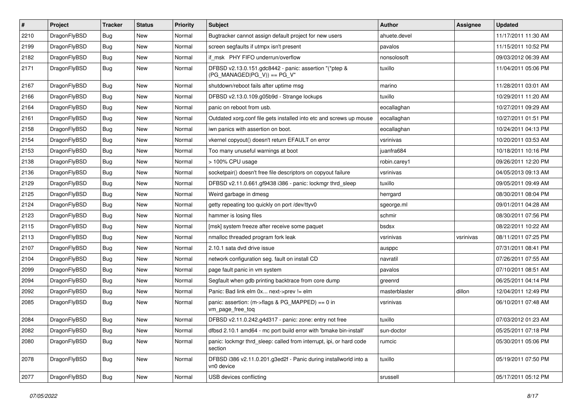| $\#$ | Project      | <b>Tracker</b> | <b>Status</b> | <b>Priority</b> | <b>Subject</b>                                                                         | <b>Author</b> | Assignee  | <b>Updated</b>      |
|------|--------------|----------------|---------------|-----------------|----------------------------------------------------------------------------------------|---------------|-----------|---------------------|
| 2210 | DragonFlyBSD | <b>Bug</b>     | New           | Normal          | Bugtracker cannot assign default project for new users                                 | ahuete.devel  |           | 11/17/2011 11:30 AM |
| 2199 | DragonFlyBSD | <b>Bug</b>     | <b>New</b>    | Normal          | screen segfaults if utmpx isn't present                                                | pavalos       |           | 11/15/2011 10:52 PM |
| 2182 | DragonFlyBSD | Bug            | New           | Normal          | if msk PHY FIFO underrun/overflow                                                      | nonsolosoft   |           | 09/03/2012 06:39 AM |
| 2171 | DragonFlyBSD | <b>Bug</b>     | New           | Normal          | DFBSD v2.13.0.151.gdc8442 - panic: assertion "(*ptep &<br>$(PG_MANAGED PG_V)$ == PG_V" | tuxillo       |           | 11/04/2011 05:06 PM |
| 2167 | DragonFlyBSD | <b>Bug</b>     | New           | Normal          | shutdown/reboot fails after uptime msg                                                 | marino        |           | 11/28/2011 03:01 AM |
| 2166 | DragonFlyBSD | Bug            | <b>New</b>    | Normal          | DFBSD v2.13.0.109.g05b9d - Strange lockups                                             | tuxillo       |           | 10/29/2011 11:20 AM |
| 2164 | DragonFlyBSD | Bug            | New           | Normal          | panic on reboot from usb.                                                              | eocallaghan   |           | 10/27/2011 09:29 AM |
| 2161 | DragonFlyBSD | Bug            | New           | Normal          | Outdated xorg.conf file gets installed into etc and screws up mouse                    | eocallaghan   |           | 10/27/2011 01:51 PM |
| 2158 | DragonFlyBSD | <b>Bug</b>     | New           | Normal          | iwn panics with assertion on boot.                                                     | eocallaghan   |           | 10/24/2011 04:13 PM |
| 2154 | DragonFlyBSD | Bug            | New           | Normal          | vkernel copyout() doesn't return EFAULT on error                                       | vsrinivas     |           | 10/20/2011 03:53 AM |
| 2153 | DragonFlyBSD | Bug            | New           | Normal          | Too many unuseful warnings at boot                                                     | juanfra684    |           | 10/18/2011 10:16 PM |
| 2138 | DragonFlyBSD | Bug            | New           | Normal          | > 100% CPU usage                                                                       | robin.carey1  |           | 09/26/2011 12:20 PM |
| 2136 | DragonFlyBSD | <b>Bug</b>     | New           | Normal          | socketpair() doesn't free file descriptors on copyout failure                          | vsrinivas     |           | 04/05/2013 09:13 AM |
| 2129 | DragonFlyBSD | <b>Bug</b>     | New           | Normal          | DFBSD v2.11.0.661.gf9438 i386 - panic: lockmgr thrd sleep                              | tuxillo       |           | 09/05/2011 09:49 AM |
| 2125 | DragonFlyBSD | <b>Bug</b>     | New           | Normal          | Weird garbage in dmesg                                                                 | herrgard      |           | 08/30/2011 08:04 PM |
| 2124 | DragonFlyBSD | <b>Bug</b>     | New           | Normal          | getty repeating too quickly on port /dev/ttyv0                                         | sgeorge.ml    |           | 09/01/2011 04:28 AM |
| 2123 | DragonFlyBSD | <b>Bug</b>     | New           | Normal          | hammer is losing files                                                                 | schmir        |           | 08/30/2011 07:56 PM |
| 2115 | DragonFlyBSD | <b>Bug</b>     | New           | Normal          | [msk] system freeze after receive some paquet                                          | bsdsx         |           | 08/22/2011 10:22 AM |
| 2113 | DragonFlyBSD | Bug            | New           | Normal          | nmalloc threaded program fork leak                                                     | vsrinivas     | vsrinivas | 08/11/2011 07:25 PM |
| 2107 | DragonFlyBSD | Bug            | New           | Normal          | 2.10.1 sata dvd drive issue                                                            | ausppc        |           | 07/31/2011 08:41 PM |
| 2104 | DragonFlyBSD | Bug            | New           | Normal          | network configuration seg. fault on install CD                                         | navratil      |           | 07/26/2011 07:55 AM |
| 2099 | DragonFlyBSD | <b>Bug</b>     | New           | Normal          | page fault panic in vm system                                                          | pavalos       |           | 07/10/2011 08:51 AM |
| 2094 | DragonFlyBSD | Bug            | New           | Normal          | Segfault when gdb printing backtrace from core dump                                    | greenrd       |           | 06/25/2011 04:14 PM |
| 2092 | DragonFlyBSD | <b>Bug</b>     | New           | Normal          | Panic: Bad link elm 0x next->prev != elm                                               | masterblaster | dillon    | 12/04/2011 12:49 PM |
| 2085 | DragonFlyBSD | <b>Bug</b>     | New           | Normal          | panic: assertion: (m->flags & PG_MAPPED) == 0 in<br>vm_page_free_toq                   | vsrinivas     |           | 06/10/2011 07:48 AM |
| 2084 | DragonFlyBSD | <b>Bug</b>     | New           | Normal          | DFBSD v2.11.0.242.g4d317 - panic: zone: entry not free                                 | tuxillo       |           | 07/03/2012 01:23 AM |
| 2082 | DragonFlyBSD | <b>Bug</b>     | New           | Normal          | dfbsd 2.10.1 amd64 - mc port build error with 'bmake bin-install'                      | sun-doctor    |           | 05/25/2011 07:18 PM |
| 2080 | DragonFlyBSD | <b>Bug</b>     | New           | Normal          | panic: lockmgr thrd sleep: called from interrupt, ipi, or hard code<br>section         | rumcic        |           | 05/30/2011 05:06 PM |
| 2078 | DragonFlyBSD | Bug            | New           | Normal          | DFBSD i386 v2.11.0.201.g3ed2f - Panic during installworld into a<br>vn0 device         | tuxillo       |           | 05/19/2011 07:50 PM |
| 2077 | DragonFlyBSD | <b>Bug</b>     | New           | Normal          | USB devices conflicting                                                                | srussell      |           | 05/17/2011 05:12 PM |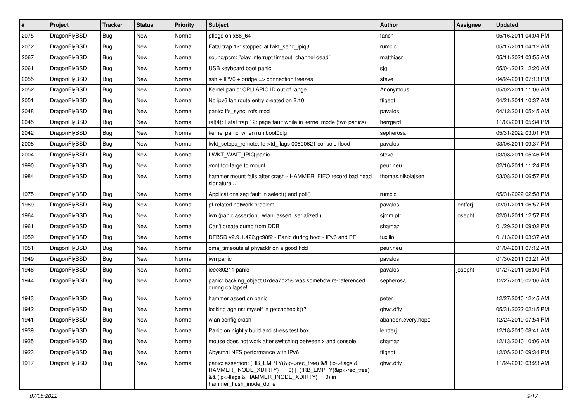| $\vert$ # | Project      | <b>Tracker</b> | <b>Status</b> | <b>Priority</b> | Subject                                                                                                                                                                                           | <b>Author</b>      | <b>Assignee</b> | <b>Updated</b>      |
|-----------|--------------|----------------|---------------|-----------------|---------------------------------------------------------------------------------------------------------------------------------------------------------------------------------------------------|--------------------|-----------------|---------------------|
| 2075      | DragonFlyBSD | Bug            | <b>New</b>    | Normal          | pflogd on x86_64                                                                                                                                                                                  | fanch              |                 | 05/16/2011 04:04 PM |
| 2072      | DragonFlyBSD | Bug            | <b>New</b>    | Normal          | Fatal trap 12: stopped at lwkt_send_ipiq3                                                                                                                                                         | rumcic             |                 | 05/17/2011 04:12 AM |
| 2067      | DragonFlyBSD | Bug            | <b>New</b>    | Normal          | sound/pcm: "play interrupt timeout, channel dead"                                                                                                                                                 | matthiasr          |                 | 05/11/2021 03:55 AM |
| 2061      | DragonFlyBSD | Bug            | New           | Normal          | USB keyboard boot panic                                                                                                                                                                           | sjg                |                 | 05/04/2012 12:20 AM |
| 2055      | DragonFlyBSD | Bug            | <b>New</b>    | Normal          | $ssh + IPV6 + bridge \Rightarrow connection freezes$                                                                                                                                              | steve              |                 | 04/24/2011 07:13 PM |
| 2052      | DragonFlyBSD | Bug            | New           | Normal          | Kernel panic: CPU APIC ID out of range                                                                                                                                                            | Anonymous          |                 | 05/02/2011 11:06 AM |
| 2051      | DragonFlyBSD | Bug            | <b>New</b>    | Normal          | No ipv6 lan route entry created on 2.10                                                                                                                                                           | ftigeot            |                 | 04/21/2011 10:37 AM |
| 2048      | DragonFlyBSD | <b>Bug</b>     | New           | Normal          | panic: ffs_sync: rofs mod                                                                                                                                                                         | pavalos            |                 | 04/12/2011 05:45 AM |
| 2045      | DragonFlyBSD | <b>Bug</b>     | New           | Normal          | ral(4): Fatal trap 12: page fault while in kernel mode (two panics)                                                                                                                               | herrgard           |                 | 11/03/2011 05:34 PM |
| 2042      | DragonFlyBSD | Bug            | <b>New</b>    | Normal          | kernel panic, when run boot0cfg                                                                                                                                                                   | sepherosa          |                 | 05/31/2022 03:01 PM |
| 2008      | DragonFlyBSD | Bug            | New           | Normal          | lwkt_setcpu_remote: td->td_flags 00800621 console flood                                                                                                                                           | pavalos            |                 | 03/06/2011 09:37 PM |
| 2004      | DragonFlyBSD | Bug            | New           | Normal          | LWKT WAIT IPIQ panic                                                                                                                                                                              | steve              |                 | 03/08/2011 05:46 PM |
| 1990      | DragonFlyBSD | Bug            | New           | Normal          | /mnt too large to mount                                                                                                                                                                           | peur.neu           |                 | 02/16/2011 11:24 PM |
| 1984      | DragonFlyBSD | <b>Bug</b>     | New           | Normal          | hammer mount fails after crash - HAMMER: FIFO record bad head<br>signature                                                                                                                        | thomas.nikolajsen  |                 | 03/08/2011 06:57 PM |
| 1975      | DragonFlyBSD | Bug            | <b>New</b>    | Normal          | Applications seg fault in select() and poll()                                                                                                                                                     | rumcic             |                 | 05/31/2022 02:58 PM |
| 1969      | DragonFlyBSD | Bug            | New           | Normal          | pf-related network problem                                                                                                                                                                        | pavalos            | lentferj        | 02/01/2011 06:57 PM |
| 1964      | DragonFlyBSD | Bug            | <b>New</b>    | Normal          | iwn (panic assertion : wlan_assert_serialized)                                                                                                                                                    | simm.ptr           | josepht         | 02/01/2011 12:57 PM |
| 1961      | DragonFlyBSD | Bug            | New           | Normal          | Can't create dump from DDB                                                                                                                                                                        | shamaz             |                 | 01/29/2011 09:02 PM |
| 1959      | DragonFlyBSD | Bug            | <b>New</b>    | Normal          | DFBSD v2.9.1.422.gc98f2 - Panic during boot - IPv6 and PF                                                                                                                                         | tuxillo            |                 | 01/13/2011 03:37 AM |
| 1951      | DragonFlyBSD | Bug            | New           | Normal          | dma timeouts at phyaddr on a good hdd                                                                                                                                                             | peur.neu           |                 | 01/04/2011 07:12 AM |
| 1949      | DragonFlyBSD | <b>Bug</b>     | <b>New</b>    | Normal          | iwn panic                                                                                                                                                                                         | pavalos            |                 | 01/30/2011 03:21 AM |
| 1946      | DragonFlyBSD | Bug            | New           | Normal          | ieee80211 panic                                                                                                                                                                                   | pavalos            | josepht         | 01/27/2011 06:00 PM |
| 1944      | DragonFlyBSD | <b>Bug</b>     | <b>New</b>    | Normal          | panic: backing object 0xdea7b258 was somehow re-referenced<br>during collapse!                                                                                                                    | sepherosa          |                 | 12/27/2010 02:06 AM |
| 1943      | DragonFlyBSD | Bug            | <b>New</b>    | Normal          | hammer assertion panic                                                                                                                                                                            | peter              |                 | 12/27/2010 12:45 AM |
| 1942      | DragonFlyBSD | Bug            | New           | Normal          | locking against myself in getcacheblk()?                                                                                                                                                          | qhwt.dfly          |                 | 05/31/2022 02:15 PM |
| 1941      | DragonFlyBSD | Bug            | <b>New</b>    | Normal          | wlan config crash                                                                                                                                                                                 | abandon.every.hope |                 | 12/24/2010 07:54 PM |
| 1939      | DragonFlyBSD | <b>Bug</b>     | <b>New</b>    | Normal          | Panic on nightly build and stress test box                                                                                                                                                        | lentferj           |                 | 12/18/2010 08:41 AM |
| 1935      | DragonFlyBSD | <b>Bug</b>     | New           | Normal          | mouse does not work after switching between x and console                                                                                                                                         | shamaz             |                 | 12/13/2010 10:06 AM |
| 1923      | DragonFlyBSD | <b>Bug</b>     | New           | Normal          | Abysmal NFS performance with IPv6                                                                                                                                                                 | ftigeot            |                 | 12/05/2010 09:34 PM |
| 1917      | DragonFlyBSD | Bug            | New           | Normal          | panic: assertion: (RB_EMPTY(&ip->rec_tree) && (ip->flags &<br>HAMMER_INODE_XDIRTY) == 0)    (!RB_EMPTY(&ip->rec_tree)<br>&& (ip->flags & HAMMER_INODE_XDIRTY) != 0) in<br>hammer flush inode done | qhwt.dfly          |                 | 11/24/2010 03:23 AM |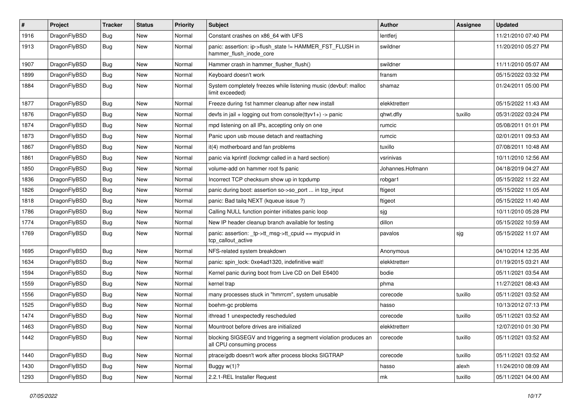| $\sharp$ | Project      | <b>Tracker</b> | <b>Status</b> | <b>Priority</b> | Subject                                                                                      | <b>Author</b>    | <b>Assignee</b> | <b>Updated</b>      |
|----------|--------------|----------------|---------------|-----------------|----------------------------------------------------------------------------------------------|------------------|-----------------|---------------------|
| 1916     | DragonFlyBSD | <b>Bug</b>     | New           | Normal          | Constant crashes on x86 64 with UFS                                                          | lentferj         |                 | 11/21/2010 07:40 PM |
| 1913     | DragonFlyBSD | Bug            | New           | Normal          | panic: assertion: ip->flush_state != HAMMER_FST_FLUSH in<br>hammer flush inode core          | swildner         |                 | 11/20/2010 05:27 PM |
| 1907     | DragonFlyBSD | Bug            | New           | Normal          | Hammer crash in hammer_flusher_flush()                                                       | swildner         |                 | 11/11/2010 05:07 AM |
| 1899     | DragonFlyBSD | Bug            | New           | Normal          | Keyboard doesn't work                                                                        | fransm           |                 | 05/15/2022 03:32 PM |
| 1884     | DragonFlyBSD | <b>Bug</b>     | <b>New</b>    | Normal          | System completely freezes while listening music (devbuf: malloc<br>limit exceeded)           | shamaz           |                 | 01/24/2011 05:00 PM |
| 1877     | DragonFlyBSD | <b>Bug</b>     | <b>New</b>    | Normal          | Freeze during 1st hammer cleanup after new install                                           | elekktretterr    |                 | 05/15/2022 11:43 AM |
| 1876     | DragonFlyBSD | Bug            | New           | Normal          | devfs in jail + logging out from console(ttyv1+) -> panic                                    | qhwt.dfly        | tuxillo         | 05/31/2022 03:24 PM |
| 1874     | DragonFlyBSD | Bug            | <b>New</b>    | Normal          | mpd listening on all IPs, accepting only on one                                              | rumcic           |                 | 05/08/2011 01:01 PM |
| 1873     | DragonFlyBSD | <b>Bug</b>     | New           | Normal          | Panic upon usb mouse detach and reattaching                                                  | rumcic           |                 | 02/01/2011 09:53 AM |
| 1867     | DragonFlyBSD | <b>Bug</b>     | New           | Normal          | it(4) motherboard and fan problems                                                           | tuxillo          |                 | 07/08/2011 10:48 AM |
| 1861     | DragonFlyBSD | Bug            | <b>New</b>    | Normal          | panic via kprintf (lockmgr called in a hard section)                                         | vsrinivas        |                 | 10/11/2010 12:56 AM |
| 1850     | DragonFlyBSD | <b>Bug</b>     | New           | Normal          | volume-add on hammer root fs panic                                                           | Johannes.Hofmann |                 | 04/18/2019 04:27 AM |
| 1836     | DragonFlyBSD | Bug            | <b>New</b>    | Normal          | Incorrect TCP checksum show up in tcpdump                                                    | robgar1          |                 | 05/15/2022 11:22 AM |
| 1826     | DragonFlyBSD | <b>Bug</b>     | New           | Normal          | panic during boot: assertion so->so_port  in tcp_input                                       | ftigeot          |                 | 05/15/2022 11:05 AM |
| 1818     | DragonFlyBSD | <b>Bug</b>     | New           | Normal          | panic: Bad tailg NEXT (kqueue issue ?)                                                       | ftigeot          |                 | 05/15/2022 11:40 AM |
| 1786     | DragonFlyBSD | Bug            | New           | Normal          | Calling NULL function pointer initiates panic loop                                           | sjg              |                 | 10/11/2010 05:28 PM |
| 1774     | DragonFlyBSD | Bug            | <b>New</b>    | Normal          | New IP header cleanup branch available for testing                                           | dillon           |                 | 05/15/2022 10:59 AM |
| 1769     | DragonFlyBSD | Bug            | New           | Normal          | panic: assertion: _tp->tt_msg->tt_cpuid == mycpuid in<br>tcp_callout_active                  | pavalos          | sjg             | 05/15/2022 11:07 AM |
| 1695     | DragonFlyBSD | Bug            | New           | Normal          | NFS-related system breakdown                                                                 | Anonymous        |                 | 04/10/2014 12:35 AM |
| 1634     | DragonFlyBSD | Bug            | <b>New</b>    | Normal          | panic: spin lock: 0xe4ad1320, indefinitive wait!                                             | elekktretterr    |                 | 01/19/2015 03:21 AM |
| 1594     | DragonFlyBSD | Bug            | New           | Normal          | Kernel panic during boot from Live CD on Dell E6400                                          | bodie            |                 | 05/11/2021 03:54 AM |
| 1559     | DragonFlyBSD | Bug            | New           | Normal          | kernel trap                                                                                  | phma             |                 | 11/27/2021 08:43 AM |
| 1556     | DragonFlyBSD | <b>Bug</b>     | <b>New</b>    | Normal          | many processes stuck in "hmrrcm", system unusable                                            | corecode         | tuxillo         | 05/11/2021 03:52 AM |
| 1525     | DragonFlyBSD | Bug            | New           | Normal          | boehm-gc problems                                                                            | hasso            |                 | 10/13/2012 07:13 PM |
| 1474     | DragonFlyBSD | Bug            | <b>New</b>    | Normal          | ithread 1 unexpectedly rescheduled                                                           | corecode         | tuxillo         | 05/11/2021 03:52 AM |
| 1463     | DragonFlyBSD | Bug            | New           | Normal          | Mountroot before drives are initialized                                                      | elekktretterr    |                 | 12/07/2010 01:30 PM |
| 1442     | DragonFlyBSD | Bug            | New           | Normal          | blocking SIGSEGV and triggering a segment violation produces an<br>all CPU consuming process | corecode         | tuxillo         | 05/11/2021 03:52 AM |
| 1440     | DragonFlyBSD | <b>Bug</b>     | New           | Normal          | ptrace/gdb doesn't work after process blocks SIGTRAP                                         | corecode         | tuxillo         | 05/11/2021 03:52 AM |
| 1430     | DragonFlyBSD | <b>Bug</b>     | New           | Normal          | Buggy w(1)?                                                                                  | hasso            | alexh           | 11/24/2010 08:09 AM |
| 1293     | DragonFlyBSD | <b>Bug</b>     | New           | Normal          | 2.2.1-REL Installer Request                                                                  | mk               | tuxillo         | 05/11/2021 04:00 AM |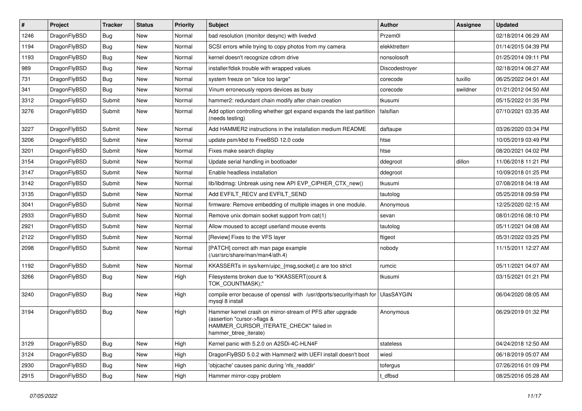| #    | Project      | <b>Tracker</b> | <b>Status</b> | <b>Priority</b> | <b>Subject</b>                                                                                                                                              | <b>Author</b>     | Assignee | <b>Updated</b>      |
|------|--------------|----------------|---------------|-----------------|-------------------------------------------------------------------------------------------------------------------------------------------------------------|-------------------|----------|---------------------|
| 1246 | DragonFlyBSD | Bug            | <b>New</b>    | Normal          | bad resolution (monitor desync) with livedvd                                                                                                                | Przem0l           |          | 02/18/2014 06:29 AM |
| 1194 | DragonFlyBSD | <b>Bug</b>     | <b>New</b>    | Normal          | SCSI errors while trying to copy photos from my camera                                                                                                      | elekktretterr     |          | 01/14/2015 04:39 PM |
| 1193 | DragonFlyBSD | <b>Bug</b>     | <b>New</b>    | Normal          | kernel doesn't recognize cdrom drive                                                                                                                        | nonsolosoft       |          | 01/25/2014 09:11 PM |
| 989  | DragonFlyBSD | Bug            | <b>New</b>    | Normal          | installer/fdisk trouble with wrapped values                                                                                                                 | Discodestrover    |          | 02/18/2014 06:27 AM |
| 731  | DragonFlyBSD | <b>Bug</b>     | <b>New</b>    | Normal          | system freeze on "slice too large"                                                                                                                          | corecode          | tuxillo  | 06/25/2022 04:01 AM |
| 341  | DragonFlyBSD | Bug            | <b>New</b>    | Normal          | Vinum erroneously repors devices as busy                                                                                                                    | corecode          | swildner | 01/21/2012 04:50 AM |
| 3312 | DragonFlyBSD | Submit         | <b>New</b>    | Normal          | hammer2: redundant chain modify after chain creation                                                                                                        | tkusumi           |          | 05/15/2022 01:35 PM |
| 3276 | DragonFlyBSD | Submit         | <b>New</b>    | Normal          | Add option controlling whether gpt expand expands the last partition<br>(needs testing)                                                                     | falsifian         |          | 07/10/2021 03:35 AM |
| 3227 | DragonFlyBSD | Submit         | <b>New</b>    | Normal          | Add HAMMER2 instructions in the installation medium README                                                                                                  | daftaupe          |          | 03/26/2020 03:34 PM |
| 3206 | DragonFlyBSD | Submit         | <b>New</b>    | Normal          | update psm/kbd to FreeBSD 12.0 code                                                                                                                         | htse              |          | 10/05/2019 03:49 PM |
| 3201 | DragonFlyBSD | Submit         | <b>New</b>    | Normal          | Fixes make search display                                                                                                                                   | htse              |          | 08/20/2021 04:02 PM |
| 3154 | DragonFlyBSD | Submit         | <b>New</b>    | Normal          | Update serial handling in bootloader                                                                                                                        | ddegroot          | dillon   | 11/06/2018 11:21 PM |
| 3147 | DragonFlyBSD | Submit         | <b>New</b>    | Normal          | Enable headless installation                                                                                                                                | ddegroot          |          | 10/09/2018 01:25 PM |
| 3142 | DragonFlyBSD | Submit         | <b>New</b>    | Normal          | lib/libdmsg: Unbreak using new API EVP CIPHER CTX new()                                                                                                     | tkusumi           |          | 07/08/2018 04:18 AM |
| 3135 | DragonFlyBSD | Submit         | <b>New</b>    | Normal          | Add EVFILT RECV and EVFILT SEND                                                                                                                             | tautolog          |          | 05/25/2018 09:59 PM |
| 3041 | DragonFlyBSD | Submit         | <b>New</b>    | Normal          | firmware: Remove embedding of multiple images in one module.                                                                                                | Anonymous         |          | 12/25/2020 02:15 AM |
| 2933 | DragonFlyBSD | Submit         | <b>New</b>    | Normal          | Remove unix domain socket support from cat(1)                                                                                                               | sevan             |          | 08/01/2016 08:10 PM |
| 2921 | DragonFlyBSD | Submit         | <b>New</b>    | Normal          | Allow moused to accept userland mouse events                                                                                                                | tautolog          |          | 05/11/2021 04:08 AM |
| 2122 | DragonFlyBSD | Submit         | <b>New</b>    | Normal          | [Review] Fixes to the VFS layer                                                                                                                             | ftigeot           |          | 05/31/2022 03:25 PM |
| 2098 | DragonFlyBSD | Submit         | New           | Normal          | [PATCH] correct ath man page example<br>(/usr/src/share/man/man4/ath.4)                                                                                     | nobody            |          | 11/15/2011 12:27 AM |
| 1192 | DragonFlyBSD | Submit         | <b>New</b>    | Normal          | KKASSERTs in sys/kern/uipc_{msg,socket}.c are too strict                                                                                                    | rumcic            |          | 05/11/2021 04:07 AM |
| 3266 | DragonFlyBSD | <b>Bug</b>     | <b>New</b>    | High            | Filesystems broken due to "KKASSERT(count &<br>TOK_COUNTMASK);"                                                                                             | tkusumi           |          | 03/15/2021 01:21 PM |
| 3240 | DragonFlyBSD | <b>Bug</b>     | New           | High            | compile error because of openssl with /usr/dports/security/rhash for<br>mysql 8 install                                                                     | <b>UlasSAYGIN</b> |          | 06/04/2020 08:05 AM |
| 3194 | DragonFlyBSD | Bug            | <b>New</b>    | High            | Hammer kernel crash on mirror-stream of PFS after upgrade<br>(assertion "cursor->flags &<br>HAMMER_CURSOR_ITERATE_CHECK" failed in<br>hammer_btree_iterate) | Anonymous         |          | 06/29/2019 01:32 PM |
| 3129 | DragonFlyBSD | <b>Bug</b>     | New           | High            | Kernel panic with 5.2.0 on A2SDi-4C-HLN4F                                                                                                                   | stateless         |          | 04/24/2018 12:50 AM |
| 3124 | DragonFlyBSD | Bug            | New           | High            | DragonFlyBSD 5.0.2 with Hammer2 with UEFI install doesn't boot                                                                                              | wiesl             |          | 06/18/2019 05:07 AM |
| 2930 | DragonFlyBSD | Bug            | New           | High            | 'objcache' causes panic during 'nfs_readdir'                                                                                                                | tofergus          |          | 07/26/2016 01:09 PM |
| 2915 | DragonFlyBSD | <b>Bug</b>     | New           | High            | Hammer mirror-copy problem                                                                                                                                  | t_dfbsd           |          | 08/25/2016 05:28 AM |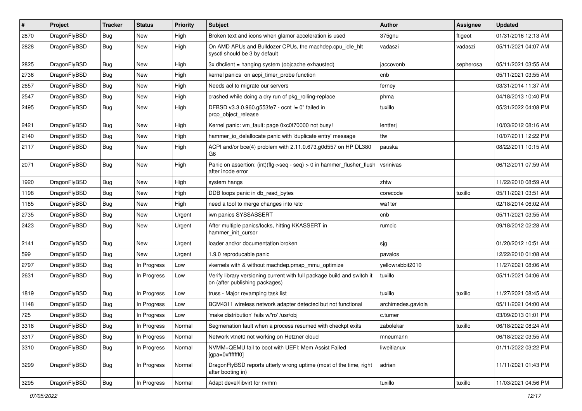| $\vert$ # | Project      | <b>Tracker</b> | <b>Status</b> | <b>Priority</b> | Subject                                                                                                   | Author             | <b>Assignee</b> | <b>Updated</b>      |
|-----------|--------------|----------------|---------------|-----------------|-----------------------------------------------------------------------------------------------------------|--------------------|-----------------|---------------------|
| 2870      | DragonFlyBSD | <b>Bug</b>     | New           | High            | Broken text and icons when glamor acceleration is used                                                    | 375gnu             | ftigeot         | 01/31/2016 12:13 AM |
| 2828      | DragonFlyBSD | Bug            | New           | High            | On AMD APUs and Bulldozer CPUs, the machdep.cpu_idle_hlt<br>sysctl should be 3 by default                 | vadaszi            | vadaszi         | 05/11/2021 04:07 AM |
| 2825      | DragonFlyBSD | Bug            | <b>New</b>    | High            | 3x dhclient = hanging system (objcache exhausted)                                                         | jaccovonb          | sepherosa       | 05/11/2021 03:55 AM |
| 2736      | DragonFlyBSD | <b>Bug</b>     | <b>New</b>    | High            | kernel panics on acpi_timer_probe function                                                                | cnb                |                 | 05/11/2021 03:55 AM |
| 2657      | DragonFlyBSD | <b>Bug</b>     | New           | High            | Needs acl to migrate our servers                                                                          | ferney             |                 | 03/31/2014 11:37 AM |
| 2547      | DragonFlyBSD | Bug            | <b>New</b>    | High            | crashed while doing a dry run of pkg rolling-replace                                                      | phma               |                 | 04/18/2013 10:40 PM |
| 2495      | DragonFlyBSD | Bug            | New           | High            | DFBSD v3.3.0.960.g553fe7 - ocnt != 0" failed in<br>prop_object_release                                    | tuxillo            |                 | 05/31/2022 04:08 PM |
| 2421      | DragonFlyBSD | <b>Bug</b>     | <b>New</b>    | High            | Kernel panic: vm_fault: page 0xc0f70000 not busy!                                                         | lentferj           |                 | 10/03/2012 08:16 AM |
| 2140      | DragonFlyBSD | <b>Bug</b>     | New           | High            | hammer_io_delallocate panic with 'duplicate entry' message                                                | ttw                |                 | 10/07/2011 12:22 PM |
| 2117      | DragonFlyBSD | Bug            | New           | High            | ACPI and/or bce(4) problem with 2.11.0.673.g0d557 on HP DL380<br>G6                                       | pauska             |                 | 08/22/2011 10:15 AM |
| 2071      | DragonFlyBSD | <b>Bug</b>     | New           | High            | Panic on assertion: (int)(flg->seq - seq) > 0 in hammer_flusher_flush<br>after inode error                | vsrinivas          |                 | 06/12/2011 07:59 AM |
| 1920      | DragonFlyBSD | <b>Bug</b>     | <b>New</b>    | High            | system hangs                                                                                              | zhtw               |                 | 11/22/2010 08:59 AM |
| 1198      | DragonFlyBSD | Bug            | <b>New</b>    | High            | DDB loops panic in db_read_bytes                                                                          | corecode           | tuxillo         | 05/11/2021 03:51 AM |
| 1185      | DragonFlyBSD | <b>Bug</b>     | <b>New</b>    | High            | need a tool to merge changes into /etc                                                                    | wa1ter             |                 | 02/18/2014 06:02 AM |
| 2735      | DragonFlyBSD | <b>Bug</b>     | New           | Urgent          | iwn panics SYSSASSERT                                                                                     | cnb                |                 | 05/11/2021 03:55 AM |
| 2423      | DragonFlyBSD | Bug            | New           | Urgent          | After multiple panics/locks, hitting KKASSERT in<br>hammer_init_cursor                                    | rumcic             |                 | 09/18/2012 02:28 AM |
| 2141      | DragonFlyBSD | <b>Bug</b>     | New           | Urgent          | loader and/or documentation broken                                                                        | sjg                |                 | 01/20/2012 10:51 AM |
| 599       | DragonFlyBSD | Bug            | <b>New</b>    | Urgent          | 1.9.0 reproducable panic                                                                                  | pavalos            |                 | 12/22/2010 01:08 AM |
| 2797      | DragonFlyBSD | <b>Bug</b>     | In Progress   | Low             | vkernels with & without machdep.pmap_mmu_optimize                                                         | yellowrabbit2010   |                 | 11/27/2021 08:06 AM |
| 2631      | DragonFlyBSD | Bug            | In Progress   | Low             | Verify library versioning current with full package build and switch it<br>on (after publishing packages) | tuxillo            |                 | 05/11/2021 04:06 AM |
| 1819      | DragonFlyBSD | <b>Bug</b>     | In Progress   | Low             | truss - Major revamping task list                                                                         | tuxillo            | tuxillo         | 11/27/2021 08:45 AM |
| 1148      | DragonFlyBSD | Bug            | In Progress   | Low             | BCM4311 wireless network adapter detected but not functional                                              | archimedes.gaviola |                 | 05/11/2021 04:00 AM |
| 725       | DragonFlyBSD | <b>Bug</b>     | In Progress   | Low             | 'make distribution' fails w/'ro' /usr/obj                                                                 | c.turner           |                 | 03/09/2013 01:01 PM |
| 3318      | DragonFlyBSD | Bug            | In Progress   | Normal          | Segmenation fault when a process resumed with checkpt exits                                               | zabolekar          | tuxillo         | 06/18/2022 08:24 AM |
| 3317      | DragonFlyBSD | <b>Bug</b>     | In Progress   | Normal          | Network vtnet0 not working on Hetzner cloud                                                               | mneumann           |                 | 06/18/2022 03:55 AM |
| 3310      | DragonFlyBSD | <b>Bug</b>     | In Progress   | Normal          | NVMM+QEMU fail to boot with UEFI: Mem Assist Failed<br>[gpa=0xfffffff0]                                   | liweitianux        |                 | 01/11/2022 03:22 PM |
| 3299      | DragonFlyBSD | <b>Bug</b>     | In Progress   | Normal          | DragonFlyBSD reports utterly wrong uptime (most of the time, right<br>after booting in)                   | adrian             |                 | 11/11/2021 01:43 PM |
| 3295      | DragonFlyBSD | <b>Bug</b>     | In Progress   | Normal          | Adapt devel/libvirt for nvmm                                                                              | tuxillo            | tuxillo         | 11/03/2021 04:56 PM |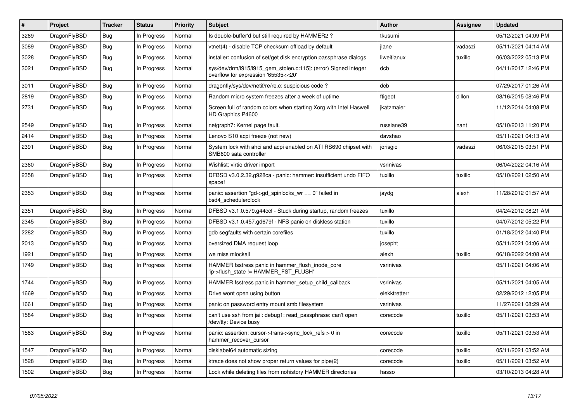| #    | <b>Project</b> | <b>Tracker</b> | <b>Status</b> | <b>Priority</b> | <b>Subject</b>                                                                                         | <b>Author</b> | Assignee | <b>Updated</b>      |
|------|----------------|----------------|---------------|-----------------|--------------------------------------------------------------------------------------------------------|---------------|----------|---------------------|
| 3269 | DragonFlyBSD   | <b>Bug</b>     | In Progress   | Normal          | Is double-buffer'd buf still required by HAMMER2?                                                      | tkusumi       |          | 05/12/2021 04:09 PM |
| 3089 | DragonFlyBSD   | <b>Bug</b>     | In Progress   | Normal          | vtnet(4) - disable TCP checksum offload by default                                                     | jlane         | vadaszi  | 05/11/2021 04:14 AM |
| 3028 | DragonFlyBSD   | Bug            | In Progress   | Normal          | installer: confusion of set/get disk encryption passphrase dialogs                                     | liweitianux   | tuxillo  | 06/03/2022 05:13 PM |
| 3021 | DragonFlyBSD   | Bug            | In Progress   | Normal          | sys/dev/drm/i915/i915 gem stolen.c:115]: (error) Signed integer<br>overflow for expression '65535<<20' | dcb           |          | 04/11/2017 12:46 PM |
| 3011 | DragonFlyBSD   | <b>Bug</b>     | In Progress   | Normal          | dragonfly/sys/dev/netif/re/re.c: suspicious code?                                                      | dcb           |          | 07/29/2017 01:26 AM |
| 2819 | DragonFlyBSD   | Bug            | In Progress   | Normal          | Random micro system freezes after a week of uptime                                                     | ftigeot       | dillon   | 08/16/2015 08:46 PM |
| 2731 | DragonFlyBSD   | Bug            | In Progress   | Normal          | Screen full of random colors when starting Xorg with Intel Haswell<br>HD Graphics P4600                | ikatzmaier    |          | 11/12/2014 04:08 PM |
| 2549 | DragonFlyBSD   | <b>Bug</b>     | In Progress   | Normal          | netgraph7: Kernel page fault.                                                                          | russiane39    | nant     | 05/10/2013 11:20 PM |
| 2414 | DragonFlyBSD   | Bug            | In Progress   | Normal          | Lenovo S10 acpi freeze (not new)                                                                       | davshao       |          | 05/11/2021 04:13 AM |
| 2391 | DragonFlyBSD   | Bug            | In Progress   | Normal          | System lock with ahci and acpi enabled on ATI RS690 chipset with<br>SMB600 sata controller             | jorisgio      | vadaszi  | 06/03/2015 03:51 PM |
| 2360 | DragonFlyBSD   | <b>Bug</b>     | In Progress   | Normal          | Wishlist: virtio driver import                                                                         | vsrinivas     |          | 06/04/2022 04:16 AM |
| 2358 | DragonFlyBSD   | Bug            | In Progress   | Normal          | DFBSD v3.0.2.32.g928ca - panic: hammer: insufficient undo FIFO<br>space!                               | tuxillo       | tuxillo  | 05/10/2021 02:50 AM |
| 2353 | DragonFlyBSD   | <b>Bug</b>     | In Progress   | Normal          | panic: assertion "gd->gd_spinlocks_wr == 0" failed in<br>bsd4 schedulerclock                           | jaydg         | alexh    | 11/28/2012 01:57 AM |
| 2351 | DragonFlyBSD   | Bug            | In Progress   | Normal          | DFBSD v3.1.0.579.g44ccf - Stuck during startup, random freezes                                         | tuxillo       |          | 04/24/2012 08:21 AM |
| 2345 | DragonFlyBSD   | <b>Bug</b>     | In Progress   | Normal          | DFBSD v3.1.0.457.gd679f - NFS panic on diskless station                                                | tuxillo       |          | 04/07/2012 05:22 PM |
| 2282 | DragonFlyBSD   | <b>Bug</b>     | In Progress   | Normal          | gdb segfaults with certain corefiles                                                                   | tuxillo       |          | 01/18/2012 04:40 PM |
| 2013 | DragonFlyBSD   | Bug            | In Progress   | Normal          | oversized DMA request loop                                                                             | josepht       |          | 05/11/2021 04:06 AM |
| 1921 | DragonFlyBSD   | <b>Bug</b>     | In Progress   | Normal          | we miss mlockall                                                                                       | alexh         | tuxillo  | 06/18/2022 04:08 AM |
| 1749 | DragonFlyBSD   | <b>Bug</b>     | In Progress   | Normal          | HAMMER fsstress panic in hammer flush inode core<br>'ip->flush state != HAMMER FST FLUSH'              | vsrinivas     |          | 05/11/2021 04:06 AM |
| 1744 | DragonFlyBSD   | Bug            | In Progress   | Normal          | HAMMER fsstress panic in hammer setup child callback                                                   | vsrinivas     |          | 05/11/2021 04:05 AM |
| 1669 | DragonFlyBSD   | Bug            | In Progress   | Normal          | Drive wont open using button                                                                           | elekktretterr |          | 02/29/2012 12:05 PM |
| 1661 | DragonFlyBSD   | <b>Bug</b>     | In Progress   | Normal          | panic on password entry mount smb filesystem                                                           | vsrinivas     |          | 11/27/2021 08:29 AM |
| 1584 | DragonFlyBSD   | Bug            | In Progress   | Normal          | can't use ssh from jail: debug1: read_passphrase: can't open<br>/dev/tty: Device busy                  | corecode      | tuxillo  | 05/11/2021 03:53 AM |
| 1583 | DragonFlyBSD   | Bug            | In Progress   | Normal          | panic: assertion: cursor->trans->sync_lock_refs > 0 in<br>hammer_recover_cursor                        | corecode      | tuxillo  | 05/11/2021 03:53 AM |
| 1547 | DragonFlyBSD   | Bug            | In Progress   | Normal          | disklabel64 automatic sizing                                                                           | corecode      | tuxillo  | 05/11/2021 03:52 AM |
| 1528 | DragonFlyBSD   | <b>Bug</b>     | In Progress   | Normal          | ktrace does not show proper return values for pipe(2)                                                  | corecode      | tuxillo  | 05/11/2021 03:52 AM |
| 1502 | DragonFlyBSD   | <b>Bug</b>     | In Progress   | Normal          | Lock while deleting files from nohistory HAMMER directories                                            | hasso         |          | 03/10/2013 04:28 AM |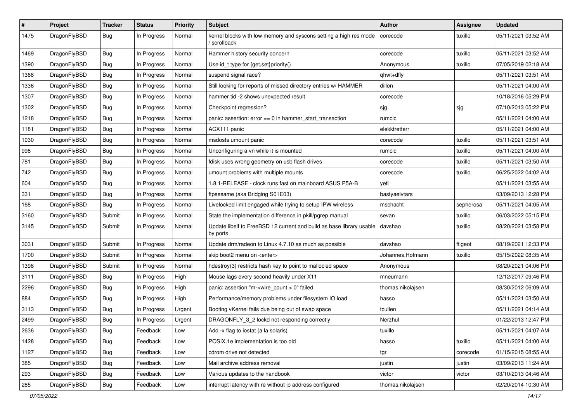| $\#$ | Project      | <b>Tracker</b> | <b>Status</b> | <b>Priority</b> | Subject                                                                           | <b>Author</b>     | Assignee  | <b>Updated</b>      |
|------|--------------|----------------|---------------|-----------------|-----------------------------------------------------------------------------------|-------------------|-----------|---------------------|
| 1475 | DragonFlyBSD | <b>Bug</b>     | In Progress   | Normal          | kernel blocks with low memory and syscons setting a high res mode<br>/ scrollback | corecode          | tuxillo   | 05/11/2021 03:52 AM |
| 1469 | DragonFlyBSD | Bug            | In Progress   | Normal          | Hammer history security concern                                                   | corecode          | tuxillo   | 05/11/2021 03:52 AM |
| 1390 | DragonFlyBSD | <b>Bug</b>     | In Progress   | Normal          | Use id_t type for {get,set}priority()                                             | Anonymous         | tuxillo   | 07/05/2019 02:18 AM |
| 1368 | DragonFlyBSD | <b>Bug</b>     | In Progress   | Normal          | suspend signal race?                                                              | qhwt+dfly         |           | 05/11/2021 03:51 AM |
| 1336 | DragonFlyBSD | <b>Bug</b>     | In Progress   | Normal          | Still looking for reports of missed directory entries w/ HAMMER                   | dillon            |           | 05/11/2021 04:00 AM |
| 1307 | DragonFlyBSD | <b>Bug</b>     | In Progress   | Normal          | hammer tid -2 shows unexpected result                                             | corecode          |           | 10/18/2016 05:29 PM |
| 1302 | DragonFlyBSD | <b>Bug</b>     | In Progress   | Normal          | Checkpoint regression?                                                            | sjg               | sjg       | 07/10/2013 05:22 PM |
| 1218 | DragonFlyBSD | Bug            | In Progress   | Normal          | panic: assertion: error == 0 in hammer_start_transaction                          | rumcic            |           | 05/11/2021 04:00 AM |
| 1181 | DragonFlyBSD | <b>Bug</b>     | In Progress   | Normal          | ACX111 panic                                                                      | elekktretterr     |           | 05/11/2021 04:00 AM |
| 1030 | DragonFlyBSD | <b>Bug</b>     | In Progress   | Normal          | msdosfs umount panic                                                              | corecode          | tuxillo   | 05/11/2021 03:51 AM |
| 998  | DragonFlyBSD | <b>Bug</b>     | In Progress   | Normal          | Unconfiguring a vn while it is mounted                                            | rumcic            | tuxillo   | 05/11/2021 04:00 AM |
| 781  | DragonFlyBSD | <b>Bug</b>     | In Progress   | Normal          | fdisk uses wrong geometry on usb flash drives                                     | corecode          | tuxillo   | 05/11/2021 03:50 AM |
| 742  | DragonFlyBSD | <b>Bug</b>     | In Progress   | Normal          | umount problems with multiple mounts                                              | corecode          | tuxillo   | 06/25/2022 04:02 AM |
| 604  | DragonFlyBSD | <b>Bug</b>     | In Progress   | Normal          | 1.8.1-RELEASE - clock runs fast on mainboard ASUS P5A-B                           | yeti              |           | 05/11/2021 03:55 AM |
| 331  | DragonFlyBSD | <b>Bug</b>     | In Progress   | Normal          | ftpsesame (aka Bridging S01E03)                                                   | bastyaelvtars     |           | 03/09/2013 12:28 PM |
| 168  | DragonFlyBSD | <b>Bug</b>     | In Progress   | Normal          | Livelocked limit engaged while trying to setup IPW wireless                       | mschacht          | sepherosa | 05/11/2021 04:05 AM |
| 3160 | DragonFlyBSD | Submit         | In Progress   | Normal          | State the implementation difference in pkill/pgrep manual                         | sevan             | tuxillo   | 06/03/2022 05:15 PM |
| 3145 | DragonFlyBSD | Submit         | In Progress   | Normal          | Update libelf to FreeBSD 12 current and build as base library usable<br>by ports  | davshao           | tuxillo   | 08/20/2021 03:58 PM |
| 3031 | DragonFlyBSD | Submit         | In Progress   | Normal          | Update drm/radeon to Linux 4.7.10 as much as possible                             | davshao           | ftigeot   | 08/19/2021 12:33 PM |
| 1700 | DragonFlyBSD | Submit         | In Progress   | Normal          | skip boot2 menu on <enter></enter>                                                | Johannes.Hofmann  | tuxillo   | 05/15/2022 08:35 AM |
| 1398 | DragonFlyBSD | Submit         | In Progress   | Normal          | hdestroy(3) restricts hash key to point to malloc'ed space                        | Anonymous         |           | 08/20/2021 04:06 PM |
| 3111 | DragonFlyBSD | Bug            | In Progress   | High            | Mouse lags every second heavily under X11                                         | mneumann          |           | 12/12/2017 09:46 PM |
| 2296 | DragonFlyBSD | <b>Bug</b>     | In Progress   | High            | panic: assertion "m->wire count > 0" failed                                       | thomas.nikolajsen |           | 08/30/2012 06:09 AM |
| 884  | DragonFlyBSD | Bug            | In Progress   | High            | Performance/memory problems under filesystem IO load                              | hasso             |           | 05/11/2021 03:50 AM |
| 3113 | DragonFlyBSD | <b>Bug</b>     | In Progress   | Urgent          | Booting vKernel fails due being out of swap space                                 | tcullen           |           | 05/11/2021 04:14 AM |
| 2499 | DragonFlyBSD | <b>Bug</b>     | In Progress   | Urgent          | DRAGONFLY_3_2 lockd not responding correctly                                      | Nerzhul           |           | 01/22/2013 12:47 PM |
| 2636 | DragonFlyBSD | <b>Bug</b>     | Feedback      | Low             | Add -x flag to iostat (a la solaris)                                              | tuxillo           |           | 05/11/2021 04:07 AM |
| 1428 | DragonFlyBSD | <b>Bug</b>     | Feedback      | Low             | POSIX.1e implementation is too old                                                | hasso             | tuxillo   | 05/11/2021 04:00 AM |
| 1127 | DragonFlyBSD | <b>Bug</b>     | Feedback      | Low             | cdrom drive not detected                                                          | tgr               | corecode  | 01/15/2015 08:55 AM |
| 385  | DragonFlyBSD | <b>Bug</b>     | Feedback      | Low             | Mail archive address removal                                                      | justin            | justin    | 03/09/2013 11:24 AM |
| 293  | DragonFlyBSD | <b>Bug</b>     | Feedback      | Low             | Various updates to the handbook                                                   | victor            | victor    | 03/10/2013 04:46 AM |
| 285  | DragonFlyBSD | <b>Bug</b>     | Feedback      | Low             | interrupt latency with re without ip address configured                           | thomas.nikolajsen |           | 02/20/2014 10:30 AM |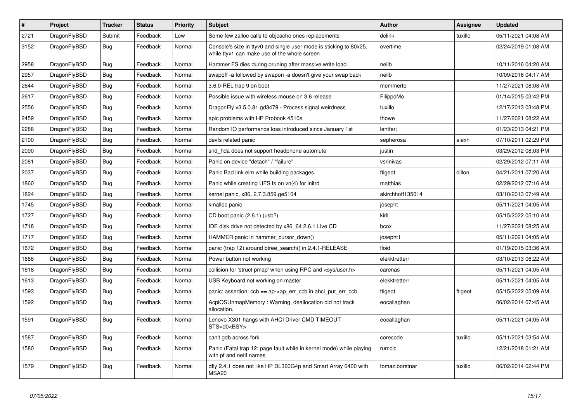| $\vert$ # | <b>Project</b> | <b>Tracker</b> | <b>Status</b> | <b>Priority</b> | <b>Subject</b>                                                                                                     | Author           | Assignee | <b>Updated</b>      |
|-----------|----------------|----------------|---------------|-----------------|--------------------------------------------------------------------------------------------------------------------|------------------|----------|---------------------|
| 2721      | DragonFlyBSD   | Submit         | Feedback      | Low             | Some few zalloc calls to objcache ones replacements                                                                | dclink           | tuxillo  | 05/11/2021 04:08 AM |
| 3152      | DragonFlyBSD   | Bug            | Feedback      | Normal          | Console's size in ttyv0 and single user mode is sticking to 80x25,<br>while ttyv1 can make use of the whole screen | overtime         |          | 02/24/2019 01:08 AM |
| 2958      | DragonFlyBSD   | <b>Bug</b>     | Feedback      | Normal          | Hammer FS dies during pruning after massive write load                                                             | neilb            |          | 10/11/2016 04:20 AM |
| 2957      | DragonFlyBSD   | Bug            | Feedback      | Normal          | swapoff -a followed by swapon -a doesn't give your swap back                                                       | neilb            |          | 10/09/2016 04:17 AM |
| 2644      | DragonFlyBSD   | Bug            | Feedback      | Normal          | 3.6.0-REL trap 9 on boot                                                                                           | memmerto         |          | 11/27/2021 08:08 AM |
| 2617      | DragonFlyBSD   | <b>Bug</b>     | Feedback      | Normal          | Possible issue with wireless mouse on 3.6 release                                                                  | FilippoMo        |          | 01/14/2015 03:42 PM |
| 2556      | DragonFlyBSD   | <b>Bug</b>     | Feedback      | Normal          | DragonFly v3.5.0.81.gd3479 - Process signal weirdness                                                              | tuxillo          |          | 12/17/2013 03:48 PM |
| 2459      | DragonFlyBSD   | <b>Bug</b>     | Feedback      | Normal          | apic problems with HP Probook 4510s                                                                                | thowe            |          | 11/27/2021 08:22 AM |
| 2288      | DragonFlyBSD   | <b>Bug</b>     | Feedback      | Normal          | Random IO performance loss introduced since January 1st                                                            | lentferj         |          | 01/23/2013 04:21 PM |
| 2100      | DragonFlyBSD   | Bug            | Feedback      | Normal          | devfs related panic                                                                                                | sepherosa        | alexh    | 07/10/2011 02:29 PM |
| 2090      | DragonFlyBSD   | Bug            | Feedback      | Normal          | snd hda does not support headphone automute                                                                        | justin           |          | 03/29/2012 08:03 PM |
| 2081      | DragonFlyBSD   | <b>Bug</b>     | Feedback      | Normal          | Panic on device "detach" / "failure"                                                                               | vsrinivas        |          | 02/29/2012 07:11 AM |
| 2037      | DragonFlyBSD   | <b>Bug</b>     | Feedback      | Normal          | Panic Bad link elm while building packages                                                                         | ftigeot          | dillon   | 04/21/2011 07:20 AM |
| 1860      | DragonFlyBSD   | Bug            | Feedback      | Normal          | Panic while creating UFS fs on vn(4) for initrd                                                                    | matthias         |          | 02/29/2012 07:16 AM |
| 1824      | DragonFlyBSD   | <b>Bug</b>     | Feedback      | Normal          | kernel panic, x86, 2.7.3.859.ge5104                                                                                | akirchhoff135014 |          | 03/10/2013 07:49 AM |
| 1745      | DragonFlyBSD   | Bug            | Feedback      | Normal          | kmalloc panic                                                                                                      | josepht          |          | 05/11/2021 04:05 AM |
| 1727      | DragonFlyBSD   | Bug            | Feedback      | Normal          | CD boot panic (2.6.1) (usb?)                                                                                       | kiril            |          | 05/15/2022 05:10 AM |
| 1718      | DragonFlyBSD   | Bug            | Feedback      | Normal          | IDE disk drive not detected by x86 64 2.6.1 Live CD                                                                | bcox             |          | 11/27/2021 08:25 AM |
| 1717      | DragonFlyBSD   | <b>Bug</b>     | Feedback      | Normal          | HAMMER panic in hammer cursor down()                                                                               | josepht1         |          | 05/11/2021 04:05 AM |
| 1672      | DragonFlyBSD   | <b>Bug</b>     | Feedback      | Normal          | panic (trap 12) around btree_search() in 2.4.1-RELEASE                                                             | floid            |          | 01/19/2015 03:36 AM |
| 1668      | DragonFlyBSD   | Bug            | Feedback      | Normal          | Power button not working                                                                                           | elekktretterr    |          | 03/10/2013 06:22 AM |
| 1618      | DragonFlyBSD   | Bug            | Feedback      | Normal          | collision for 'struct pmap' when using RPC and <sys user.h=""></sys>                                               | carenas          |          | 05/11/2021 04:05 AM |
| 1613      | DragonFlyBSD   | <b>Bug</b>     | Feedback      | Normal          | USB Keyboard not working on master                                                                                 | elekktretterr    |          | 05/11/2021 04:05 AM |
| 1593      | DragonFlyBSD   | <b>Bug</b>     | Feedback      | Normal          | panic: assertion: ccb == ap->ap_err_ccb in ahci_put_err_ccb                                                        | ftigeot          | ftigeot  | 05/15/2022 05:09 AM |
| 1592      | DragonFlyBSD   | <b>Bug</b>     | Feedback      | Normal          | AcpiOSUnmapMemory: Warning, deallocation did not track<br>allocation.                                              | eocallaghan      |          | 06/02/2014 07:45 AM |
| 1591      | DragonFlyBSD   | <b>Bug</b>     | Feedback      | Normal          | Lenovo X301 hangs with AHCI Driver CMD TIMEOUT<br>STS=d0 <bsy></bsy>                                               | eocallaghan      |          | 05/11/2021 04:05 AM |
| 1587      | DragonFlyBSD   | <b>Bug</b>     | Feedback      | Normal          | can't gdb across fork                                                                                              | corecode         | tuxillo  | 05/11/2021 03:54 AM |
| 1580      | DragonFlyBSD   | Bug            | Feedback      | Normal          | Panic (Fatal trap 12: page fault while in kernel mode) while playing<br>with pf and netif names                    | rumcic           |          | 12/21/2018 01:21 AM |
| 1579      | DragonFlyBSD   | Bug            | Feedback      | Normal          | dfly 2.4.1 does not like HP DL360G4p and Smart Array 6400 with<br>MSA20                                            | tomaz.borstnar   | tuxillo  | 06/02/2014 02:44 PM |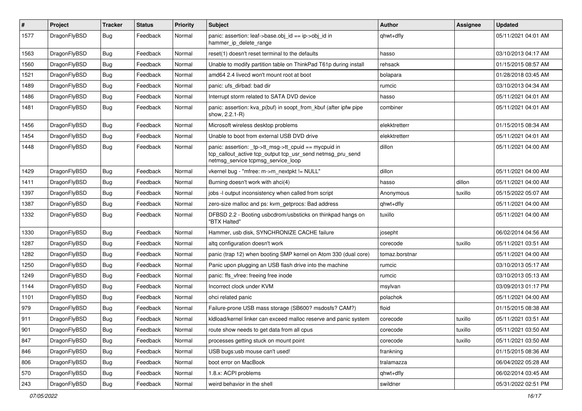| $\sharp$ | Project      | <b>Tracker</b> | <b>Status</b> | <b>Priority</b> | Subject                                                                                                                                                   | <b>Author</b>  | Assignee | <b>Updated</b>      |
|----------|--------------|----------------|---------------|-----------------|-----------------------------------------------------------------------------------------------------------------------------------------------------------|----------------|----------|---------------------|
| 1577     | DragonFlyBSD | <b>Bug</b>     | Feedback      | Normal          | panic: assertion: leaf->base.obj_id == ip->obj_id in<br>hammer ip delete range                                                                            | qhwt+dfly      |          | 05/11/2021 04:01 AM |
| 1563     | DragonFlyBSD | <b>Bug</b>     | Feedback      | Normal          | reset(1) doesn't reset terminal to the defaults                                                                                                           | hasso          |          | 03/10/2013 04:17 AM |
| 1560     | DragonFlyBSD | <b>Bug</b>     | Feedback      | Normal          | Unable to modify partition table on ThinkPad T61p during install                                                                                          | rehsack        |          | 01/15/2015 08:57 AM |
| 1521     | DragonFlyBSD | Bug            | Feedback      | Normal          | amd64 2.4 livecd won't mount root at boot                                                                                                                 | bolapara       |          | 01/28/2018 03:45 AM |
| 1489     | DragonFlyBSD | <b>Bug</b>     | Feedback      | Normal          | panic: ufs dirbad: bad dir                                                                                                                                | rumcic         |          | 03/10/2013 04:34 AM |
| 1486     | DragonFlyBSD | <b>Bug</b>     | Feedback      | Normal          | Interrupt storm related to SATA DVD device                                                                                                                | hasso          |          | 05/11/2021 04:01 AM |
| 1481     | DragonFlyBSD | Bug            | Feedback      | Normal          | panic: assertion: kva p(buf) in soopt from kbuf (after ipfw pipe<br>show, 2.2.1-R)                                                                        | combiner       |          | 05/11/2021 04:01 AM |
| 1456     | DragonFlyBSD | Bug            | Feedback      | Normal          | Microsoft wireless desktop problems                                                                                                                       | elekktretterr  |          | 01/15/2015 08:34 AM |
| 1454     | DragonFlyBSD | <b>Bug</b>     | Feedback      | Normal          | Unable to boot from external USB DVD drive                                                                                                                | elekktretterr  |          | 05/11/2021 04:01 AM |
| 1448     | DragonFlyBSD | <b>Bug</b>     | Feedback      | Normal          | panic: assertion: _tp->tt_msg->tt_cpuid == mycpuid in<br>tcp_callout_active tcp_output tcp_usr_send netmsg_pru_send<br>netmsg service tcpmsg service loop | dillon         |          | 05/11/2021 04:00 AM |
| 1429     | DragonFlyBSD | Bug            | Feedback      | Normal          | vkernel bug - "mfree: m->m_nextpkt != NULL"                                                                                                               | dillon         |          | 05/11/2021 04:00 AM |
| 1411     | DragonFlyBSD | <b>Bug</b>     | Feedback      | Normal          | Burning doesn't work with ahci(4)                                                                                                                         | hasso          | dillon   | 05/11/2021 04:00 AM |
| 1397     | DragonFlyBSD | <b>Bug</b>     | Feedback      | Normal          | jobs -I output inconsistency when called from script                                                                                                      | Anonymous      | tuxillo  | 05/15/2022 05:07 AM |
| 1387     | DragonFlyBSD | Bug            | Feedback      | Normal          | zero-size malloc and ps: kvm_getprocs: Bad address                                                                                                        | qhwt+dfly      |          | 05/11/2021 04:00 AM |
| 1332     | DragonFlyBSD | <b>Bug</b>     | Feedback      | Normal          | DFBSD 2.2 - Booting usbcdrom/usbsticks on thinkpad hangs on<br>"BTX Halted"                                                                               | tuxillo        |          | 05/11/2021 04:00 AM |
| 1330     | DragonFlyBSD | Bug            | Feedback      | Normal          | Hammer, usb disk, SYNCHRONIZE CACHE failure                                                                                                               | josepht        |          | 06/02/2014 04:56 AM |
| 1287     | DragonFlyBSD | <b>Bug</b>     | Feedback      | Normal          | altg configuration doesn't work                                                                                                                           | corecode       | tuxillo  | 05/11/2021 03:51 AM |
| 1282     | DragonFlyBSD | <b>Bug</b>     | Feedback      | Normal          | panic (trap 12) when booting SMP kernel on Atom 330 (dual core)                                                                                           | tomaz.borstnar |          | 05/11/2021 04:00 AM |
| 1250     | DragonFlyBSD | Bug            | Feedback      | Normal          | Panic upon plugging an USB flash drive into the machine                                                                                                   | rumcic         |          | 03/10/2013 05:17 AM |
| 1249     | DragonFlyBSD | <b>Bug</b>     | Feedback      | Normal          | panic: ffs vfree: freeing free inode                                                                                                                      | rumcic         |          | 03/10/2013 05:13 AM |
| 1144     | DragonFlyBSD | Bug            | Feedback      | Normal          | Incorrect clock under KVM                                                                                                                                 | msylvan        |          | 03/09/2013 01:17 PM |
| 1101     | DragonFlyBSD | <b>Bug</b>     | Feedback      | Normal          | ohci related panic                                                                                                                                        | polachok       |          | 05/11/2021 04:00 AM |
| 979      | DragonFlyBSD | <b>Bug</b>     | Feedback      | Normal          | Failure-prone USB mass storage (SB600? msdosfs? CAM?)                                                                                                     | floid          |          | 01/15/2015 08:38 AM |
| 911      | DragonFlyBSD | <b>Bug</b>     | Feedback      | Normal          | kldload/kernel linker can exceed malloc reserve and panic system                                                                                          | corecode       | tuxillo  | 05/11/2021 03:51 AM |
| 901      | DragonFlyBSD | <b>Bug</b>     | Feedback      | Normal          | route show needs to get data from all cpus                                                                                                                | corecode       | tuxillo  | 05/11/2021 03:50 AM |
| 847      | DragonFlyBSD | <b>Bug</b>     | Feedback      | Normal          | processes getting stuck on mount point                                                                                                                    | corecode       | tuxillo  | 05/11/2021 03:50 AM |
| 846      | DragonFlyBSD | <b>Bug</b>     | Feedback      | Normal          | USB bugs:usb mouse can't used!                                                                                                                            | frankning      |          | 01/15/2015 08:36 AM |
| 806      | DragonFlyBSD | <b>Bug</b>     | Feedback      | Normal          | boot error on MacBook                                                                                                                                     | tralamazza     |          | 06/04/2022 05:28 AM |
| 570      | DragonFlyBSD | <b>Bug</b>     | Feedback      | Normal          | 1.8.x: ACPI problems                                                                                                                                      | qhwt+dfly      |          | 06/02/2014 03:45 AM |
| 243      | DragonFlyBSD | Bug            | Feedback      | Normal          | weird behavior in the shell                                                                                                                               | swildner       |          | 05/31/2022 02:51 PM |